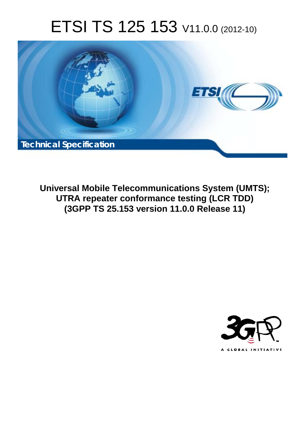# ETSI TS 125 153 V11.0.0 (2012-10)



**Universal Mobile Telecommunications System (UMTS); UTRA repeater conformance testing (LCR TDD) (3GPP TS 25.153 version 11.0.0 Release 11)** 

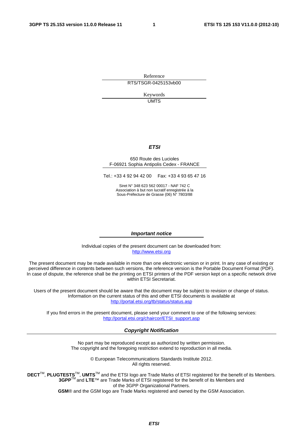Reference RTS/TSGR-0425153vb00

> Keywords UMTS

#### *ETSI*

#### 650 Route des Lucioles F-06921 Sophia Antipolis Cedex - FRANCE

Tel.: +33 4 92 94 42 00 Fax: +33 4 93 65 47 16

Siret N° 348 623 562 00017 - NAF 742 C Association à but non lucratif enregistrée à la Sous-Préfecture de Grasse (06) N° 7803/88

#### *Important notice*

Individual copies of the present document can be downloaded from: [http://www.etsi.org](http://www.etsi.org/)

The present document may be made available in more than one electronic version or in print. In any case of existing or perceived difference in contents between such versions, the reference version is the Portable Document Format (PDF). In case of dispute, the reference shall be the printing on ETSI printers of the PDF version kept on a specific network drive within ETSI Secretariat.

Users of the present document should be aware that the document may be subject to revision or change of status. Information on the current status of this and other ETSI documents is available at <http://portal.etsi.org/tb/status/status.asp>

If you find errors in the present document, please send your comment to one of the following services: [http://portal.etsi.org/chaircor/ETSI\\_support.asp](http://portal.etsi.org/chaircor/ETSI_support.asp)

#### *Copyright Notification*

No part may be reproduced except as authorized by written permission. The copyright and the foregoing restriction extend to reproduction in all media.

> © European Telecommunications Standards Institute 2012. All rights reserved.

DECT<sup>™</sup>, PLUGTESTS<sup>™</sup>, UMTS<sup>™</sup> and the ETSI logo are Trade Marks of ETSI registered for the benefit of its Members. **3GPP**TM and **LTE**™ are Trade Marks of ETSI registered for the benefit of its Members and of the 3GPP Organizational Partners.

**GSM**® and the GSM logo are Trade Marks registered and owned by the GSM Association.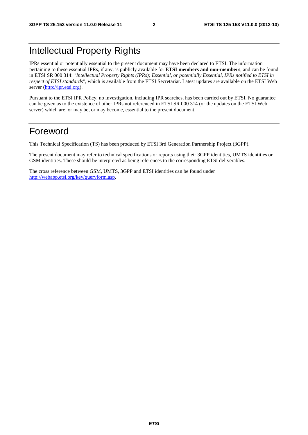## Intellectual Property Rights

IPRs essential or potentially essential to the present document may have been declared to ETSI. The information pertaining to these essential IPRs, if any, is publicly available for **ETSI members and non-members**, and can be found in ETSI SR 000 314: *"Intellectual Property Rights (IPRs); Essential, or potentially Essential, IPRs notified to ETSI in respect of ETSI standards"*, which is available from the ETSI Secretariat. Latest updates are available on the ETSI Web server ([http://ipr.etsi.org\)](http://webapp.etsi.org/IPR/home.asp).

Pursuant to the ETSI IPR Policy, no investigation, including IPR searches, has been carried out by ETSI. No guarantee can be given as to the existence of other IPRs not referenced in ETSI SR 000 314 (or the updates on the ETSI Web server) which are, or may be, or may become, essential to the present document.

## Foreword

This Technical Specification (TS) has been produced by ETSI 3rd Generation Partnership Project (3GPP).

The present document may refer to technical specifications or reports using their 3GPP identities, UMTS identities or GSM identities. These should be interpreted as being references to the corresponding ETSI deliverables.

The cross reference between GSM, UMTS, 3GPP and ETSI identities can be found under [http://webapp.etsi.org/key/queryform.asp.](http://webapp.etsi.org/key/queryform.asp)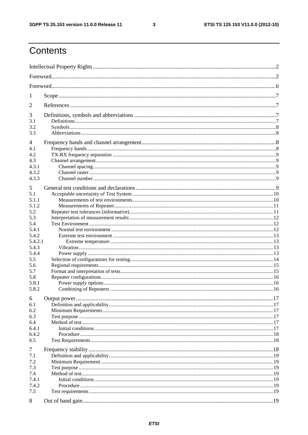$\mathbf{3}$ 

## Contents

| 1            |  |  |  |
|--------------|--|--|--|
| 2            |  |  |  |
| 3            |  |  |  |
| 3.1          |  |  |  |
| 3.2          |  |  |  |
| 3.3          |  |  |  |
| 4            |  |  |  |
| 4.1          |  |  |  |
| 4.2          |  |  |  |
| 4.3          |  |  |  |
| 4.3.1        |  |  |  |
| 4.3.2        |  |  |  |
| 4.3.3        |  |  |  |
| 5            |  |  |  |
| 5.1          |  |  |  |
| 5.1.1        |  |  |  |
| 5.1.2        |  |  |  |
| 5.2          |  |  |  |
| 5.3          |  |  |  |
| 5.4          |  |  |  |
| 5.4.1        |  |  |  |
| 5.4.2        |  |  |  |
| 5.4.2.1      |  |  |  |
| 5.4.3        |  |  |  |
| 5.4.4        |  |  |  |
| 5.5          |  |  |  |
| 5.6          |  |  |  |
| 5.7          |  |  |  |
| 5.8<br>5.8.1 |  |  |  |
| 5.8.2        |  |  |  |
|              |  |  |  |
| 6            |  |  |  |
| 6.1          |  |  |  |
| 6.2          |  |  |  |
| 6.3          |  |  |  |
| 6.4          |  |  |  |
| 6.4.1        |  |  |  |
| 6.4.2        |  |  |  |
| 6.5          |  |  |  |
| 7            |  |  |  |
| 7.1          |  |  |  |
| 7.2          |  |  |  |
| 7.3          |  |  |  |
| 7.4          |  |  |  |
| 7.4.1        |  |  |  |
| 7.4.2        |  |  |  |
| 7.5          |  |  |  |
| 8            |  |  |  |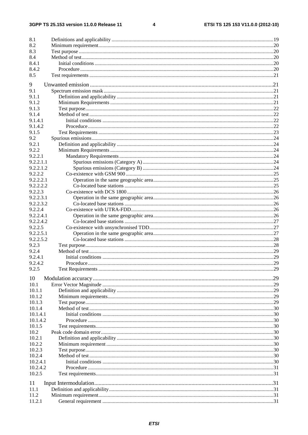$\overline{\mathbf{4}}$ 

| 8.1                  |  |
|----------------------|--|
| 8.2                  |  |
| 8.3                  |  |
| 8.4                  |  |
| 8.4.1                |  |
| 8.4.2                |  |
| 8.5                  |  |
| 9                    |  |
| 9.1                  |  |
| 9.1.1                |  |
| 9.1.2                |  |
| 9.1.3                |  |
| 9.1.4                |  |
| 9.1.4.1              |  |
| 9.1.4.2              |  |
| 9.1.5                |  |
| 9.2                  |  |
| 9.2.1                |  |
| 9.2.2                |  |
| 9.2.2.1              |  |
| 9.2.2.1.1            |  |
| 9.2.2.1.2            |  |
| 9.2.2.2              |  |
| 9.2.2.2.1            |  |
| 9.2.2.2.2            |  |
| 9.2.2.3              |  |
| 9.2.2.3.1            |  |
| 9.2.2.3.2            |  |
| 9.2.2.4              |  |
| 9.2.2.4.1            |  |
| 9.2.2.4.2<br>9.2.2.5 |  |
| 9.2.2.5.1            |  |
| 9.2.2.5.2            |  |
| 9.2.3                |  |
| 9.2.4                |  |
| 9.2.4.1              |  |
| 9.2.4.2              |  |
| 9.2.5                |  |
| 10                   |  |
| 10.1                 |  |
| 10.1.1               |  |
| 10.1.2               |  |
| 10.1.3               |  |
| 10.1.4               |  |
| 10.1.4.1             |  |
| 10.1.4.2             |  |
| 10.1.5               |  |
| 10.2                 |  |
| 10.2.1               |  |
| 10.2.2               |  |
| 10.2.3               |  |
| 10.2.4               |  |
| 10.2.4.1             |  |
| 10.2.4.2             |  |
| 10.2.5               |  |
| 11                   |  |
| 11.1                 |  |
| 11.2                 |  |
| 11.2.1               |  |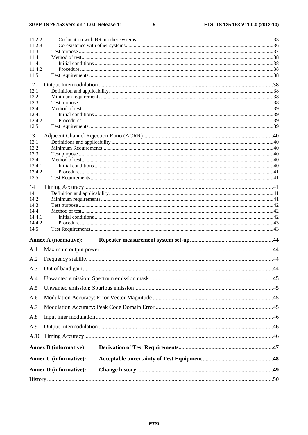#### $5\phantom{a}$

| 11.2.2           |                               |  |  |
|------------------|-------------------------------|--|--|
| 11.2.3           |                               |  |  |
| 11.3             |                               |  |  |
| 11.4             |                               |  |  |
| 11.4.1<br>11.4.2 |                               |  |  |
| 11.5             |                               |  |  |
|                  |                               |  |  |
| 12               |                               |  |  |
| 12.1             |                               |  |  |
| 12.2             |                               |  |  |
| 12.3             |                               |  |  |
| 12.4             |                               |  |  |
| 12.4.1           |                               |  |  |
| 12.4.2<br>12.5   |                               |  |  |
|                  |                               |  |  |
| 13               |                               |  |  |
| 13.1             |                               |  |  |
| 13.2             |                               |  |  |
| 13.3             |                               |  |  |
| 13.4             |                               |  |  |
| 13.4.1           |                               |  |  |
| 13.4.2           |                               |  |  |
| 13.5             |                               |  |  |
| 14               |                               |  |  |
| 14.1             |                               |  |  |
| 14.2             |                               |  |  |
| 14.3             |                               |  |  |
| 14.4             |                               |  |  |
| 14.4.1           |                               |  |  |
| 14.4.2           |                               |  |  |
| 14.5             |                               |  |  |
|                  | <b>Annex A (normative):</b>   |  |  |
| A.1              |                               |  |  |
|                  |                               |  |  |
| A.2              |                               |  |  |
| A.3              |                               |  |  |
|                  |                               |  |  |
| A.4              |                               |  |  |
| A.5              |                               |  |  |
| A.6              |                               |  |  |
| A.7              |                               |  |  |
| A.8              |                               |  |  |
| A.9              |                               |  |  |
|                  |                               |  |  |
|                  | <b>Annex B</b> (informative): |  |  |
|                  |                               |  |  |
|                  | <b>Annex C</b> (informative): |  |  |
|                  | <b>Annex D</b> (informative): |  |  |
|                  |                               |  |  |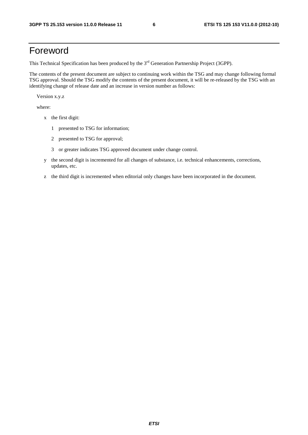## Foreword

This Technical Specification has been produced by the 3<sup>rd</sup> Generation Partnership Project (3GPP).

The contents of the present document are subject to continuing work within the TSG and may change following formal TSG approval. Should the TSG modify the contents of the present document, it will be re-released by the TSG with an identifying change of release date and an increase in version number as follows:

Version x.y.z

where:

- x the first digit:
	- 1 presented to TSG for information;
	- 2 presented to TSG for approval;
	- 3 or greater indicates TSG approved document under change control.
- y the second digit is incremented for all changes of substance, i.e. technical enhancements, corrections, updates, etc.
- z the third digit is incremented when editorial only changes have been incorporated in the document.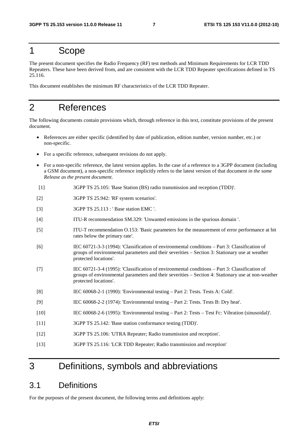## 1 Scope

The present document specifies the Radio Frequency (RF) test methods and Minimum Requirements for LCR TDD Repeaters. These have been derived from, and are consistent with the LCR TDD Repeater specifications defined in TS 25.116.

This document establishes the minimum RF characteristics of the LCR TDD Repeater.

## 2 References

The following documents contain provisions which, through reference in this text, constitute provisions of the present document.

- References are either specific (identified by date of publication, edition number, version number, etc.) or non-specific.
- For a specific reference, subsequent revisions do not apply.
- For a non-specific reference, the latest version applies. In the case of a reference to a 3GPP document (including a GSM document), a non-specific reference implicitly refers to the latest version of that document *in the same Release as the present document*.
- [1] 3GPP TS 25.105: 'Base Station (BS) radio transmission and reception (TDD)'.
- [2] 3GPP TS 25.942: 'RF system scenarios'.
- [3] 3GPP TS 25.113 : ' Base station EMC '.
- [4] ITU-R recommendation SM.329: 'Unwanted emissions in the spurious domain '.
- [5] ITU-T recommendation O.153: 'Basic parameters for the measurement of error performance at bit rates below the primary rate'.
- [6] IEC 60721-3-3 (1994): 'Classification of environmental conditions Part 3: Classification of groups of environmental parameters and their severities – Section 3: Stationary use at weather protected locations'.
- [7] IEC 60721-3-4 (1995): 'Classification of environmental conditions Part 3: Classification of groups of environmental parameters and their severities – Section 4: Stationary use at non-weather protected locations'.
- [8] IEC 60068-2-1 (1990): 'Environmental testing Part 2: Tests. Tests A: Cold'.
- [9] IEC 60068-2-2 (1974): 'Environmental testing Part 2: Tests. Tests B: Dry heat'.
- [10] IEC 60068-2-6 (1995): 'Environmental testing Part 2: Tests Test Fc: Vibration (sinusoidal)'.
- [11] 3GPP TS 25.142: 'Base station conformance testing (TDD)'.
- [12] 3GPP TS 25.106: 'UTRA Repeater; Radio transmission and reception'.
- [13] 3GPP TS 25.116: 'LCR TDD Repeater; Radio transmission and reception'

## 3 Definitions, symbols and abbreviations

### 3.1 Definitions

For the purposes of the present document, the following terms and definitions apply: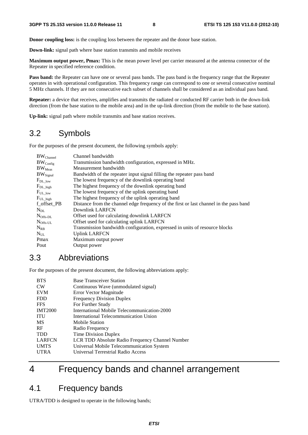**Donor coupling loss:** is the coupling loss between the repeater and the donor base station.

**Down-link:** signal path where base station transmits and mobile receives

**Maximum output power, Pmax:** This is the mean power level per carrier measured at the antenna connector of the Repeater in specified reference condition.

**Pass band:** the Repeater can have one or several pass bands. The pass band is the frequency range that the Repeater operates in with operational configuration. This frequency range can correspond to one or several consecutive nominal 5 MHz channels. If they are not consecutive each subset of channels shall be considered as an individual pass band.

**Repeater:** a device that receives, amplifies and transmits the radiated or conducted RF carrier both in the down-link direction (from the base station to the mobile area) and in the up-link direction (from the mobile to the base station).

**Up-link:** signal path where mobile transmits and base station receives.

## 3.2 Symbols

For the purposes of the present document, the following symbols apply:

| BW <sub>Channel</sub> | Channel bandwidth                                                                      |
|-----------------------|----------------------------------------------------------------------------------------|
| $BW_{Config}$         | Transmission bandwidth configuration, expressed in MHz.                                |
| $BW_{Meas}$           | Measurement bandwidth                                                                  |
| $BW_{Signal}$         | Bandwidth of the repeater input signal filling the repeater pass band                  |
| $F_{DL\_low}$         | The lowest frequency of the downlink operating band                                    |
| $F_{DL\_high}$        | The highest frequency of the downlink operating band                                   |
| $F_{UL\_low}$         | The lowest frequency of the uplink operating band                                      |
| $F_{UL\_high}$        | The highest frequency of the uplink operating band                                     |
| f_offset_PB           | Distance from the channel edge frequency of the first or last channel in the pass band |
| $N_{DL}$              | Downlink LARFCN                                                                        |
| $N_{\rm Offs-DL}$     | Offset used for calculating downlink LARFCN                                            |
| $N_{\rm Offs-UL}$     | Offset used for calculating uplink LARFCN                                              |
| $N_{RR}$              | Transmission bandwidth configuration, expressed in units of resource blocks            |
| $N_{UL}$              | <b>Uplink LARFCN</b>                                                                   |
| Pmax                  | Maximum output power                                                                   |
| Pout                  | Output power                                                                           |

## 3.3 Abbreviations

For the purposes of the present document, the following abbreviations apply:

| <b>BTS</b>     | <b>Base Transceiver Station</b>                 |
|----------------|-------------------------------------------------|
| <b>CW</b>      | Continuous Wave (unmodulated signal)            |
| <b>EVM</b>     | Error Vector Magnitude                          |
| <b>FDD</b>     | <b>Frequency Division Duplex</b>                |
| <b>FFS</b>     | For Further Study                               |
| <b>IMT2000</b> | International Mobile Telecommunication-2000     |
| <b>ITU</b>     | International Telecommunication Union           |
| MS             | Mobile Station                                  |
| <b>RF</b>      | Radio Frequency                                 |
| <b>TDD</b>     | Time Division Duplex                            |
| <b>LARFCN</b>  | LCR TDD Absolute Radio Frequency Channel Number |
| <b>UMTS</b>    | Universal Mobile Telecommunication System       |
| <b>UTRA</b>    | Universal Terrestrial Radio Access              |
|                |                                                 |

## 4 Frequency bands and channel arrangement

## 4.1 Frequency bands

UTRA/TDD is designed to operate in the following bands;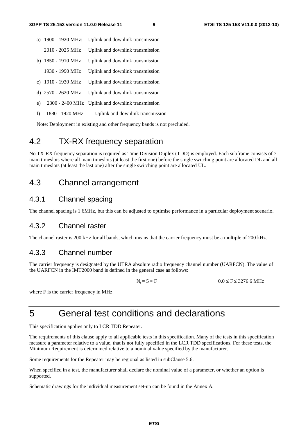- a) 1900 1920 MHz: Uplink and downlink transmission 2010 - 2025 MHz Uplink and downlink transmission b) 1850 - 1910 MHz Uplink and downlink transmission 1930 - 1990 MHz Uplink and downlink transmission c) 1910 - 1930 MHz Uplink and downlink transmission d) 2570 - 2620 MHz Uplink and downlink transmission
- e) 2300 2400 MHz Uplink and downlink transmission
- f) 1880 1920 MHz: Uplink and downlink transmission

Note: Deployment in existing and other frequency bands is not precluded.

## 4.2 TX-RX frequency separation

No TX-RX frequency separation is required as Time Division Duplex (TDD) is employed. Each subframe consists of 7 main timeslots where all main timeslots (at least the first one) before the single switching point are allocated DL and all main timeslots (at least the last one) after the single switching point are allocated UL.

### 4.3 Channel arrangement

#### 4.3.1 Channel spacing

The channel spacing is 1.6MHz, but this can be adjusted to optimise performance in a particular deployment scenario.

#### 4.3.2 Channel raster

The channel raster is 200 kHz for all bands, which means that the carrier frequency must be a multiple of 200 kHz.

#### 4.3.3 Channel number

The carrier frequency is designated by the UTRA absolute radio frequency channel number (UARFCN). The value of the UARFCN in the IMT2000 band is defined in the general case as follows:

 $N_t = 5 * F$   $0.0 \le F \le 3276.6 \text{ MHz}$ 

where F is the carrier frequency in MHz.

## 5 General test conditions and declarations

This specification applies only to LCR TDD Repeater.

The requirements of this clause apply to all applicable tests in this specification. Many of the tests in this specification measure a parameter relative to a value, that is not fully specified in the LCR TDD specifications. For these tests, the Minimum Requirement is determined relative to a nominal value specified by the manufacturer.

Some requirements for the Repeater may be regional as listed in subClause 5.6.

When specified in a test, the manufacturer shall declare the nominal value of a parameter, or whether an option is supported.

Schematic drawings for the individual measurement set-up can be found in the Annex A.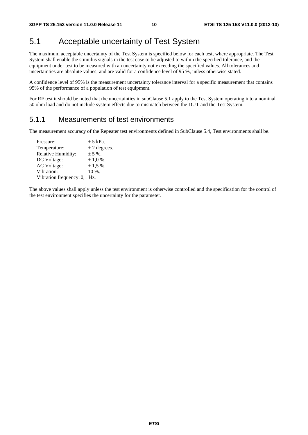## 5.1 Acceptable uncertainty of Test System

The maximum acceptable uncertainty of the Test System is specified below for each test, where appropriate. The Test System shall enable the stimulus signals in the test case to be adjusted to within the specified tolerance, and the equipment under test to be measured with an uncertainty not exceeding the specified values. All tolerances and uncertainties are absolute values, and are valid for a confidence level of 95 %, unless otherwise stated.

A confidence level of 95% is the measurement uncertainty tolerance interval for a specific measurement that contains 95% of the performance of a population of test equipment.

For RF test it should be noted that the uncertainties in subClause 5.1 apply to the Test System operating into a nominal 50 ohm load and do not include system effects due to mismatch between the DUT and the Test System.

#### 5.1.1 Measurements of test environments

The measurement accuracy of the Repeater test environments defined in SubClause 5.4, Test environments shall be.

| Pressure:                    | $\pm$ 5 kPa.     |
|------------------------------|------------------|
| Temperature:                 | $\pm$ 2 degrees. |
| Relative Humidity:           | $± 5 \%$ .       |
| DC Voltage:                  | $\pm$ 1.0 %.     |
| <b>AC</b> Voltage:           | $\pm$ 1,5 %.     |
| Vibration:                   | $10\%$ .         |
| Vibration frequency: 0,1 Hz. |                  |
|                              |                  |

The above values shall apply unless the test environment is otherwise controlled and the specification for the control of the test environment specifies the uncertainty for the parameter.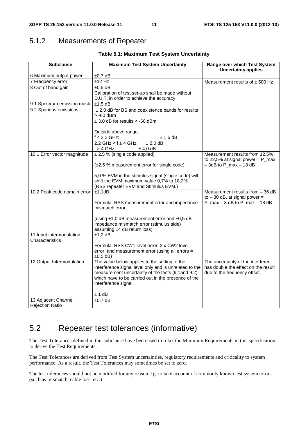## 5.1.2 Measurements of Repeater

| <b>Subclause</b>                            | <b>Maximum Test System Uncertainty</b>                 | Range over which Test System<br><b>Uncertainty applies</b> |  |
|---------------------------------------------|--------------------------------------------------------|------------------------------------------------------------|--|
| 6 Maximum output power                      | $\pm 0.7$ dB                                           |                                                            |  |
| 7 Frequency error                           | $±12$ Hz                                               | Measurement results of $\pm$ 500 Hz                        |  |
| 8 Out of band gain                          | $±0,5$ dB                                              |                                                            |  |
|                                             | Calibration of test set-up shall be made without       |                                                            |  |
|                                             | D.U.T. in order to achieve the accuracy                |                                                            |  |
| 9.1 Spectrum emission mask                  | $±1,5$ dB                                              |                                                            |  |
| 9.2 Spurious emissions                      | I± 2,0 dB for BS and coexistence bands for results     |                                                            |  |
|                                             | $> -60$ dBm                                            |                                                            |  |
|                                             | $\pm$ 3,0 dB for results < -60 dBm                     |                                                            |  |
|                                             | Outside above range:                                   |                                                            |  |
|                                             | $f \leq 2,2$ GHz:<br>$± 1,5$ dB                        |                                                            |  |
|                                             | 2,2 GHz $<$ f $\leq$ 4 GHz:<br>$± 2,0$ dB              |                                                            |  |
|                                             | $f > 4$ GHz:<br>$±$ 4,0 dB                             |                                                            |  |
| 10.1 Error vector magnitude                 | $\pm 2.5$ % (single code applied)                      | Measurement results from 12,5%                             |  |
|                                             |                                                        | to 22,5% at signal power = $P_{max}$                       |  |
|                                             | (±2,5 % measurement error for single code).            | $-3dB$ to P_max $-18dB$                                    |  |
|                                             | 5,0 % EVM in the stimulus signal (single code) will    |                                                            |  |
|                                             | shift the EVM maximum value 0,7% to 18,2%.             |                                                            |  |
|                                             | (RSS repeater EVM and Stimulus EVM.)                   |                                                            |  |
| 10.2 Peak code domain error                 | ±1,1dB                                                 | Measurement results from $-36$ dB                          |  |
|                                             |                                                        | to $-30$ dB, at signal power =                             |  |
|                                             | Formula: RSS measurement error and impedance           | P_max $-3$ dB to P_max $-18$ dB                            |  |
|                                             | mismatch error                                         |                                                            |  |
|                                             | (using $\pm$ 1,0 dB measurement error and $\pm$ 0,5 dB |                                                            |  |
|                                             | impedance mismatch error (stimulus side)               |                                                            |  |
|                                             | assuming 14 dB return loss)                            |                                                            |  |
| 11 Input intermodulation<br>Characteristics | $±1,2$ dB                                              |                                                            |  |
|                                             | Formula: RSS CW1 level error, 2 x CW2 level            |                                                            |  |
|                                             | error, and measurement error (using all errors =       |                                                            |  |
|                                             | $\pm 0.5$ dB)                                          |                                                            |  |
| 12 Output Intermodulation                   | The value below applies to the setting of the          | The uncertainty of the interferer                          |  |
|                                             | interference signal level only and is unrelated to the | has double the effect on the result                        |  |
|                                             | measurement uncertainty of the tests (9.1 and 9.2)     | due to the frequency offset.                               |  |
|                                             | which have to be carried out in the presence of the    |                                                            |  |
|                                             | interference signal.                                   |                                                            |  |
|                                             | ± 1 dB                                                 |                                                            |  |
| 13 Adjacent Channel                         | $\pm 0.7$ dB                                           |                                                            |  |
| <b>Rejection Ratio</b>                      |                                                        |                                                            |  |

## 5.2 Repeater test tolerances (informative)

The Test Tolerances defined in this subclause have been used to relax the Minimum Requirements in this specification to derive the Test Requirements.

The Test Tolerances are derived from Test System uncertainties, regulatory requirements and criticality to system performance. As a result, the Test Tolerances may sometimes be set to zero.

The test tolerances should not be modified for any reason e.g. to take account of commonly known test system errors (such as mismatch, cable loss, etc.)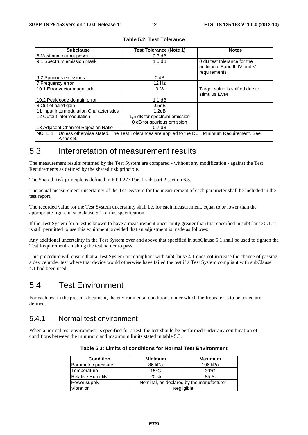| <b>Subclause</b>                                                                                                 | <b>Test Tolerance (Note 1)</b>                             | <b>Notes</b>                                                                |
|------------------------------------------------------------------------------------------------------------------|------------------------------------------------------------|-----------------------------------------------------------------------------|
| 6 Maximum output power                                                                                           | 0.7 dB                                                     |                                                                             |
| 9.1 Spectrum emission mask                                                                                       | $1.5$ dB                                                   | 0 dB test tolerance for the<br>additional Band II, IV and V<br>requirements |
| 9.2 Spurious emissions                                                                                           | $0$ dB                                                     |                                                                             |
| 7 Frequency error                                                                                                | $12$ Hz                                                    |                                                                             |
| 10.1 Error vector magnitude                                                                                      | $0\%$                                                      | Target value is shifted due to<br>stimulus EVM                              |
| 10.2 Peak code domain error                                                                                      | 1.1 dB                                                     |                                                                             |
| 8 Out of band gain                                                                                               | 0.5dB                                                      |                                                                             |
| 11 Input intermodulation Characteristics                                                                         | 1,2dB                                                      |                                                                             |
| 12 Output intermodulation                                                                                        | 1,5 dB for spectrum emission<br>0 dB for spurious emission |                                                                             |
| 13 Adjacent Channel Rejection Ratio<br>0.7dB                                                                     |                                                            |                                                                             |
| NOTE 1: Unless otherwise stated, The Test Tolerances are applied to the DUT Minimum Requirement. See<br>Annex B. |                                                            |                                                                             |

#### **Table 5.2: Test Tolerance**

## 5.3 Interpretation of measurement results

The measurement results returned by the Test System are compared - without any modification - against the Test Requirements as defined by the shared risk principle.

The Shared Risk principle is defined in ETR 273 Part 1 sub-part 2 section 6.5.

The actual measurement uncertainty of the Test System for the measurement of each parameter shall be included in the test report.

The recorded value for the Test System uncertainty shall be, for each measurement, equal to or lower than the appropriate figure in subClause 5.1 of this specification.

If the Test System for a test is known to have a measurement uncertainty greater than that specified in subClause 5.1, it is still permitted to use this equipment provided that an adjustment is made as follows:

Any additional uncertainty in the Test System over and above that specified in subClause 5.1 shall be used to tighten the Test Requirement - making the test harder to pass.

This procedure will ensure that a Test System not compliant with subClause 4.1 does not increase the chance of passing a device under test where that device would otherwise have failed the test if a Test System compliant with subClause 4.1 had been used.

## 5.4 Test Environment

For each test in the present document, the environmental conditions under which the Repeater is to be tested are defined.

### 5.4.1 Normal test environment

When a normal test environment is specified for a test, the test should be performed under any combination of conditions between the minimum and maximum limits stated in table 5.3.

| <b>Condition</b>         | <b>Minimum</b>                           | <b>Maximum</b> |
|--------------------------|------------------------------------------|----------------|
| Barometric pressure      | 86 kPa                                   | 106 kPa        |
| Temperature              | $15^{\circ}$ C                           | $30^{\circ}$ C |
| <b>Relative Humidity</b> | 20%                                      | 85%            |
| Power supply             | Nominal, as declared by the manufacturer |                |
| <b>Vibration</b>         | Negligible                               |                |

| Table 5.3: Limits of conditions for Normal Test Environment |  |  |
|-------------------------------------------------------------|--|--|
|-------------------------------------------------------------|--|--|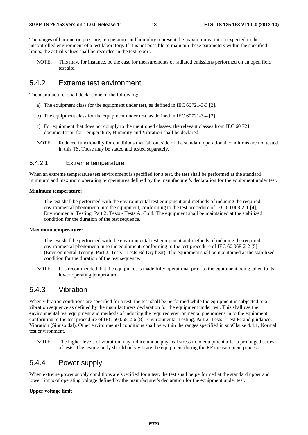The ranges of barometric pressure, temperature and humidity represent the maximum variation expected in the uncontrolled environment of a test laboratory. If it is not possible to maintain these parameters within the specified limits, the actual values shall be recorded in the test report.

NOTE: This may, for instance, be the case for measurements of radiated emissions performed on an open field test site.

### 5.4.2 Extreme test environment

The manufacturer shall declare one of the following:

- a) The equipment class for the equipment under test, as defined in IEC 60721-3-3 [2].
- b) The equipment class for the equipment under test, as defined in IEC 60721-3-4 [3].
- c) For equipment that does not comply to the mentioned classes, the relevant classes from IEC 60 721 documentation for Temperature, Humidity and Vibration shall be declared.
- NOTE: Reduced functionality for conditions that fall out side of the standard operational conditions are not tested in this TS. These may be stated and tested separately.

#### 5.4.2.1 Extreme temperature

When an extreme temperature test environment is specified for a test, the test shall be performed at the standard minimum and maximum operating temperatures defined by the manufacturer's declaration for the equipment under test.

#### **Minimum temperature:**

- The test shall be performed with the environmental test equipment and methods of inducing the required environmental phenomena into the equipment, conforming to the test procedure of IEC 60 068-2-1 [4], Environmental Testing, Part 2: Tests - Tests A: Cold. The equipment shall be maintained at the stabilized condition for the duration of the test sequence.

#### **Maximum temperature:**

- The test shall be performed with the environmental test equipment and methods of inducing the required environmental phenomena in to the equipment, conforming to the test procedure of IEC 60 068-2-2 [5] (Environmental Testing, Part 2: Tests - Tests Bd Dry heat). The equipment shall be maintained at the stabilized condition for the duration of the test sequence.
- NOTE: It is recommended that the equipment is made fully operational prior to the equipment being taken to its lower operating temperature.

#### 5.4.3 Vibration

When vibration conditions are specified for a test, the test shall be performed while the equipment is subjected to a vibration sequence as defined by the manufacturers declaration for the equipment under test. This shall use the environmental test equipment and methods of inducing the required environmental phenomena in to the equipment, conforming to the test procedure of IEC 60 068-2-6 [8], Environmental Testing, Part 2: Tests - Test Fc and guidance: Vibration (Sinusoidal). Other environmental conditions shall be within the ranges specified in subClause 4.4.1, Normal test environment.

NOTE: The higher levels of vibration may induce undue physical stress in to equipment after a prolonged series of tests. The testing body should only vibrate the equipment during the RF measurement process.

### 5.4.4 Power supply

When extreme power supply conditions are specified for a test, the test shall be performed at the standard upper and lower limits of operating voltage defined by the manufacturer's declaration for the equipment under test.

#### **Upper voltage limit**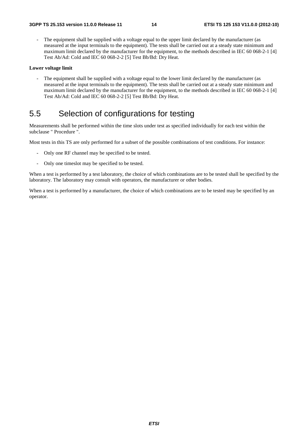The equipment shall be supplied with a voltage equal to the upper limit declared by the manufacturer (as measured at the input terminals to the equipment). The tests shall be carried out at a steady state minimum and maximum limit declared by the manufacturer for the equipment, to the methods described in IEC 60 068-2-1 [4] Test Ab/Ad: Cold and IEC 60 068-2-2 [5] Test Bb/Bd: Dry Heat.

#### **Lower voltage limit**

The equipment shall be supplied with a voltage equal to the lower limit declared by the manufacturer (as measured at the input terminals to the equipment). The tests shall be carried out at a steady state minimum and maximum limit declared by the manufacturer for the equipment, to the methods described in IEC 60 068-2-1 [4] Test Ab/Ad: Cold and IEC 60 068-2-2 [5] Test Bb/Bd: Dry Heat.

## 5.5 Selection of configurations for testing

Measurements shall be performed within the time slots under test as specified individually for each test within the subclause " Procedure ".

Most tests in this TS are only performed for a subset of the possible combinations of test conditions. For instance:

- Only one RF channel may be specified to be tested.
- Only one timeslot may be specified to be tested.

When a test is performed by a test laboratory, the choice of which combinations are to be tested shall be specified by the laboratory. The laboratory may consult with operators, the manufacturer or other bodies.

When a test is performed by a manufacturer, the choice of which combinations are to be tested may be specified by an operator.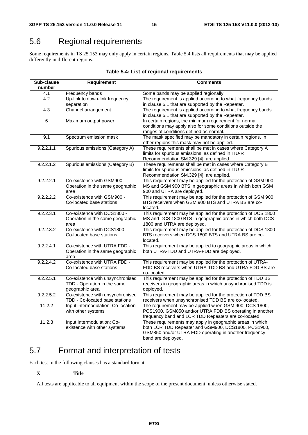## 5.6 Regional requirements

Some requirements in TS 25.153 may only apply in certain regions. Table 5.4 lists all requirements that may be applied differently in different regions.

| Sub-clause<br>number | Requirement                                                        | <b>Comments</b>                                                                                                |
|----------------------|--------------------------------------------------------------------|----------------------------------------------------------------------------------------------------------------|
| 4.1                  | Frequency bands                                                    | Some bands may be applied regionally.                                                                          |
| 4.2                  | Up-link to down-link frequency                                     | The requirement is applied according to what frequency bands                                                   |
|                      | separation                                                         | in clause 5.1 that are supported by the Repeater.                                                              |
| $\overline{4.3}$     | Channel arrangement                                                | The requirement is applied according to what frequency bands                                                   |
|                      |                                                                    | in clause 5.1 that are supported by the Repeater.                                                              |
| 6                    | Maximum output power                                               | In certain regions, the minimum requirement for normal                                                         |
|                      |                                                                    | conditions may apply also for some conditions outside the                                                      |
|                      |                                                                    | ranges of conditions defined as normal.                                                                        |
| 9.1                  | Spectrum emission mask                                             | The mask specified may be mandatory in certain regions. In                                                     |
|                      |                                                                    | other regions this mask may not be applied.                                                                    |
| 9.2.2.1.1            | Spurious emissions (Category A)                                    | These requirements shall be met in cases where Category A                                                      |
|                      |                                                                    | limits for spurious emissions, as defined in ITU-R                                                             |
| 9.2.2.1.2            | Spurious emissions (Category B)                                    | Recommendation SM.329 [4], are applied.<br>These requirements shall be met in cases where Category B           |
|                      |                                                                    | limits for spurious emissions, as defined in ITU-R                                                             |
|                      |                                                                    | Recommendation SM.329 [4], are applied.                                                                        |
| 9.2.2.2.1            | Co-existence with GSM900 -                                         | This requirement may be applied for the protection of GSM 900                                                  |
|                      | Operation in the same geographic                                   | MS and GSM 900 BTS in geographic areas in which both GSM                                                       |
|                      | area                                                               | 900 and UTRA are deployed.                                                                                     |
| 9.2.2.2.2            | Co-existence with GSM900 -                                         | This requirement may be applied for the protection of GSM 900                                                  |
|                      | Co-located base stations                                           | BTS receivers when GSM 900 BTS and UTRA BS are co-                                                             |
|                      |                                                                    | located.                                                                                                       |
| 9.2.2.3.1            | Co-existence with DCS1800 -                                        | This requirement may be applied for the protection of DCS 1800                                                 |
|                      | Operation in the same geographic                                   | MS and DCS 1800 BTS in geographic areas in which both DCS                                                      |
| 9.2.2.3.2            | area<br>Co-existence with DCS1800 -                                | 1800 and UTRA are deployed.<br>This requirement may be applied for the protection of DCS 1800                  |
|                      | Co-located base stations                                           | BTS receivers when DCS 1800 BTS and UTRA BS are co-                                                            |
|                      |                                                                    | located.                                                                                                       |
| 9.2.2.4.1            | Co-existence with UTRA FDD -                                       | This requirement may be applied to geographic areas in which                                                   |
|                      | Operation in the same geographic                                   | both UTRA-TDD and UTRA-FDD are deployed.                                                                       |
|                      | area                                                               |                                                                                                                |
| 9.2.2.4.2            | Co-existence with UTRA FDD -                                       | This requirement may be applied for the protection of UTRA-                                                    |
|                      | Co-located base stations                                           | FDD BS receivers when UTRA-TDD BS and UTRA FDD BS are                                                          |
|                      |                                                                    | co-located.                                                                                                    |
| 9.2.2.5.1            | Co-existence with unsynchronised                                   | This requirement may be applied for the protection of TDD BS                                                   |
|                      | TDD - Operation in the same                                        | receivers in geographic areas in which unsynchronised TDD is                                                   |
|                      | geographic area                                                    | deployed.                                                                                                      |
| 9.2.2.5.2            | Co-existence with unsynchronised<br>TDD - Co-located base stations | This requirement may be applied for the protection of TDD BS                                                   |
| 11.2.2               | Input intermodulation: Co-location                                 | receivers when unsynchronised TDD BS are co-located.<br>The requirement may be applied when GSM 900, DCS 1800, |
|                      | with other systems                                                 | PCS1900, GSM850 and/or UTRA FDD BS operating in another                                                        |
|                      |                                                                    | frequency band and LCR TDD Repeaters are co-located.                                                           |
| 11.2.3               | Input Intermodulation: Co-                                         | These requirements may apply in geographic areas in which                                                      |
|                      | existence with other systems                                       | both LCR TDD Repeater and GSM900, DCS1800, PCS1900,                                                            |
|                      |                                                                    | GSM850 and/or UTRA FDD operating in another frequency                                                          |
|                      |                                                                    | band are deployed.                                                                                             |

#### **Table 5.4: List of regional requirements**

## 5.7 Format and interpretation of tests

Each test in the following clauses has a standard format:

#### **X Title**

All tests are applicable to all equipment within the scope of the present document, unless otherwise stated.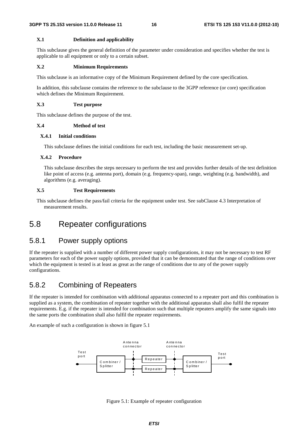#### **X.1 Definition and applicability**

This subclause gives the general definition of the parameter under consideration and specifies whether the test is applicable to all equipment or only to a certain subset.

#### **X.2 Minimum Requirements**

This subclause is an informative copy of the Minimum Requirement defined by the core specification.

In addition, this subclause contains the reference to the subclause to the 3GPP reference (or core) specification which defines the Minimum Requirement.

#### **X.3 Test purpose**

This subclause defines the purpose of the test.

#### **X.4 Method of test**

#### **X.4.1 Initial conditions**

This subclause defines the initial conditions for each test, including the basic measurement set-up.

#### **X.4.2 Procedure**

This subclause describes the steps necessary to perform the test and provides further details of the test definition like point of access (e.g. antenna port), domain (e.g. frequency-span), range, weighting (e.g. bandwidth), and algorithms (e.g. averaging).

#### **X.5 Test Requirements**

This subclause defines the pass/fail criteria for the equipment under test. See subClause 4.3 Interpretation of measurement results.

## 5.8 Repeater configurations

### 5.8.1 Power supply options

If the repeater is supplied with a number of different power supply configurations, it may not be necessary to test RF parameters for each of the power supply options, provided that it can be demonstrated that the range of conditions over which the equipment is tested is at least as great as the range of conditions due to any of the power supply configurations.

### 5.8.2 Combining of Repeaters

If the repeater is intended for combination with additional apparatus connected to a repeater port and this combination is supplied as a system, the combination of repeater together with the additional apparatus shall also fulfil the repeater requirements. E.g. if the repeater is intended for combination such that multiple repeaters amplify the same signals into the same ports the combination shall also fulfil the repeater requirements.

An example of such a configuration is shown in figure 5.1



Figure 5.1: Example of repeater configuration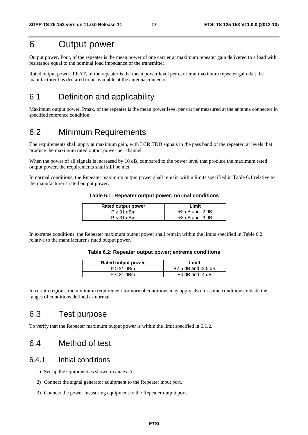## 6 Output power

Output power, Pout, of the repeater is the mean power of one carrier at maximum repeater gain delivered to a load with resistance equal to the nominal load impedance of the transmitter.

Rated output power, PRAT, of the repeater is the mean power level per carrier at maximum repeater gain that the manufacturer has declared to be available at the antenna connector.

## 6.1 Definition and applicability

Maximum output power, Pmax, of the repeater is the mean power level per carrier measured at the antenna connector in specified reference condition.

## 6.2 Minimum Requirements

The requirements shall apply at maximum gain, with LCR TDD signals in the pass band of the repeater, at levels that produce the maximum rated output power per channel.

When the power of all signals is increased by 10 dB, compared to the power level that produce the maximum rated output power, the requirements shall still be met.

In normal conditions, the Repeater maximum output power shall remain within limits specified in Table 6.1 relative to the manufacturer's rated output power.

| <b>Rated output power</b> | Limit               |
|---------------------------|---------------------|
| $P \geq 31$ dBm           | $+2$ dB and $-2$ dB |
| $P < 31$ dBm              | $+3$ dB and $-3$ dB |

#### **Table 6.1: Repeater output power; normal conditions**

In extreme conditions, the Repeater maximum output power shall remain within the limits specified in Table 6.2 relative to the manufacturer's rated output power.

|  | Table 6.2: Repeater output power; extreme conditions |
|--|------------------------------------------------------|
|--|------------------------------------------------------|

| Rated output power | Limit                   |
|--------------------|-------------------------|
| $P \geq 31$ dBm    | $+2.5$ dB and $-2.5$ dB |
| $P < 31$ dBm       | $+4$ dB and $-4$ dB     |

In certain regions, the minimum requirement for normal conditions may apply also for some conditions outside the ranges of conditions defined as normal.

## 6.3 Test purpose

To verify that the Repeater maximum output power is within the limit specified in 6.1.2.

## 6.4 Method of test

#### 6.4.1 Initial conditions

- 1) Set-up the equipment as shown in annex A.
- 2) Connect the signal generator equipment to the Repeater input port.
- 3) Connect the power measuring equipment to the Repeater output port.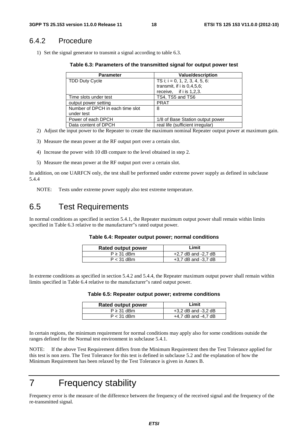### 6.4.2 Procedure

1) Set the signal generator to transmit a signal according to table 6.3.

**Table 6.3: Parameters of the transmitted signal for output power test** 

| <b>Parameter</b>                 | Value/description                 |
|----------------------------------|-----------------------------------|
| <b>TDD Duty Cycle</b>            | TS i; $i = 0, 1, 2, 3, 4, 5, 6$ : |
|                                  | transmit, if $i$ is 0,4,5,6;      |
|                                  | receive, if i is 1,2,3.           |
| Time slots under test            | TS4, TS5 and TS6                  |
| output power setting             | <b>PRAT</b>                       |
| Number of DPCH in each time slot | 8                                 |
| under test                       |                                   |
| Power of each DPCH               | 1/8 of Base Station output power  |
| Data content of DPCH             | real life (sufficient irregular)  |

- 2) Adjust the input power to the Repeater to create the maximum nominal Repeater output power at maximum gain.
- 3) Measure the mean power at the RF output port over a certain slot.
- 4) Increase the power with 10 dB compare to the level obtained in step 2.
- 5) Measure the mean power at the RF output port over a certain slot.

In addition, on one UARFCN only, the test shall be performed under extreme power supply as defined in subclause 5.4.4

NOTE: Tests under extreme power supply also test extreme temperature.

## 6.5 Test Requirements

In normal conditions as specified in section 5.4.1, the Repeater maximum output power shall remain within limits specified in Table 6.3 relative to the manufacturer"s rated output power.

#### **Table 6.4: Repeater output power; normal conditions**

| Rated output power | Limit                   |
|--------------------|-------------------------|
| $P \geq 31$ dBm    | $+2.7$ dB and $-2.7$ dB |
| $P < 31$ dBm       | $+3.7$ dB and $-3.7$ dB |

In extreme conditions as specified in section 5.4.2 and 5.4.4, the Repeater maximum output power shall remain within limits specified in Table 6.4 relative to the manufacturer"s rated output power.

|  |  | Table 6.5: Repeater output power; extreme conditions |  |
|--|--|------------------------------------------------------|--|
|--|--|------------------------------------------------------|--|

| <b>Rated output power</b> | Limit                   |
|---------------------------|-------------------------|
| $P \geq 31$ dBm           | $+3,2$ dB and $-3,2$ dB |
| $P < 31$ dBm              | $+4.7$ dB and $-4.7$ dB |

In certain regions, the minimum requirement for normal conditions may apply also for some conditions outside the ranges defined for the Normal test environment in subclause 5.4.1.

NOTE: If the above Test Requirement differs from the Minimum Requirement then the Test Tolerance applied for this test is non zero. The Test Tolerance for this test is defined in subclause 5.2 and the explanation of how the Minimum Requirement has been relaxed by the Test Tolerance is given in Annex B.

## 7 Frequency stability

Frequency error is the measure of the difference between the frequency of the received signal and the frequency of the re-transmitted signal.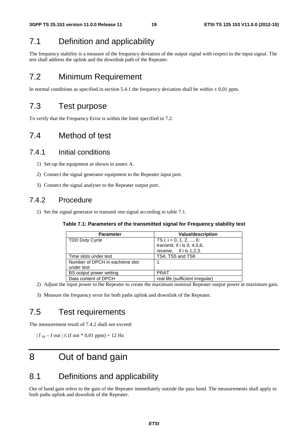## 7.1 Definition and applicability

The frequency stability is a measure of the frequency deviation of the output signal with respect to the input signal. The test shall address the uplink and the downlink path of the Repeater.

## 7.2 Minimum Requirement

In normal conditions as specified in section 5.4.1 the frequency deviation shall be within  $\pm$  0,01 ppm.

## 7.3 Test purpose

To verify that the Frequency Error is within the limit specified in 7.2.

## 7.4 Method of test

### 7.4.1 Initial conditions

- 1) Set-up the equipment as shown in annex A.
- 2) Connect the signal generator equipment to the Repeater input port.
- 3) Connect the signal analyser to the Repeater output port..

### 7.4.2 Procedure

1) Set the signal generator to transmit one signal according to table 7.1.

| Table 7.1: Parameters of the transmitted signal for Frequency stability test |  |
|------------------------------------------------------------------------------|--|
|------------------------------------------------------------------------------|--|

| <b>Parameter</b>                | <b>Value/description</b>         |
|---------------------------------|----------------------------------|
| <b>TDD Duty Cycle</b>           | TS i; i = 0, 1, 2, , 6:          |
|                                 | transmit, if $i$ is 0, 4,5,6;    |
|                                 | receive, if $i$ is 1,2,3.        |
| Time slots under test           | TS4, TS5 and TS6                 |
| Number of DPCH in eachtime slot |                                  |
| under test                      |                                  |
| BS output power setting         | <b>PRAT</b>                      |
| Data content of DPCH            | real life (sufficient irregular) |

2) Adjust the input power to the Repeater to create the maximum nominal Repeater output power at maximum gain.

3) Measure the frequency error for both paths uplink and downlink of the Repeater.

## 7.5 Test requirements

The measurement result of 7.4.2 shall not exceed:

 $| f_{IN} - f_{Out} | \leq (f_{Out} * 0.01$  ppm $) + 12$  Hz

## 8 Out of band gain

## 8.1 Definitions and applicability

Out of band gain refers to the gain of the Repeater immediately outside the pass band. The measurements shall apply to both paths uplink and downlink of the Repeater.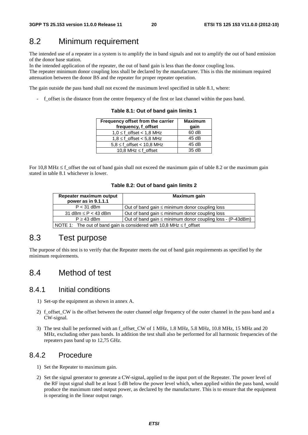## 8.2 Minimum requirement

The intended use of a repeater in a system is to amplify the in band signals and not to amplify the out of band emission of the donor base station.

In the intended application of the repeater, the out of band gain is less than the donor coupling loss.

The repeater minimum donor coupling loss shall be declared by the manufacturer. This is this the minimum required attenuation between the donor BS and the repeater for proper repeater operation.

The gain outside the pass band shall not exceed the maximum level specified in table 8.1, where:

- f\_offset is the distance from the centre frequency of the first or last channel within the pass band.

**Table 8.1: Out of band gain limits 1** 

| Frequency offset from the carrier<br>frequency, f_offset | <b>Maximum</b><br>qain |
|----------------------------------------------------------|------------------------|
| $1.0 \leq f$ offset < 1.8 MHz                            | 60 dB                  |
| $1.8 \leq f$ offset < 5.8 MHz                            | 45 dB                  |
| $5,8 \le f_{\text{offset}} < 10,8 \text{ MHz}$           | 45 dB                  |
| 10,8 MHz $\leq$ f offset                                 | 35dB                   |

For 10,8 MHz  $\leq$  f\_offset the out of band gain shall not exceed the maximum gain of table 8.2 or the maximum gain stated in table 8.1 whichever is lower.

|  |  |  |  |  |  | Table 8.2: Out of band gain limits 2 |  |
|--|--|--|--|--|--|--------------------------------------|--|
|--|--|--|--|--|--|--------------------------------------|--|

| Repeater maximum output<br>power as in 9.1.1.1                           | Maximum gain                                               |  |
|--------------------------------------------------------------------------|------------------------------------------------------------|--|
| $P < 31$ dBm                                                             | Out of band gain $\leq$ minimum donor coupling loss        |  |
| 31 dBm $\leq$ P $<$ 43 dBm                                               | Out of band gain $\leq$ minimum donor coupling loss        |  |
| $P \geq 43$ dBm                                                          | Out of band gain ≤ minimum donor coupling loss - (P-43dBm) |  |
| NOTE 1: The out of band gain is considered with 10,8 MHz $\leq$ f_offset |                                                            |  |

## 8.3 Test purpose

The purpose of this test is to verify that the Repeater meets the out of band gain requirements as specified by the minimum requirements.

### 8.4 Method of test

### 8.4.1 Initial conditions

- 1) Set-up the equipment as shown in annex A.
- 2) f\_offset\_CW is the offset between the outer channel edge frequency of the outer channel in the pass band and a CW-signal.
- 3) The test shall be performed with an f\_offset\_CW of 1 MHz, 1.8 MHz, 5.8 MHz, 10.8 MHz, 15 MHz and 20 MHz, excluding other pass bands. In addition the test shall also be performed for all harmonic frequencies of the repeaters pass band up to 12,75 GHz.

#### 8.4.2 Procedure

- 1) Set the Repeater to maximum gain.
- 2) Set the signal generator to generate a CW-signal, applied to the input port of the Repeater. The power level of the RF input signal shall be at least 5 dB below the power level which, when applied within the pass band, would produce the maximum rated output power, as declared by the manufacturer. This is to ensure that the equipment is operating in the linear output range.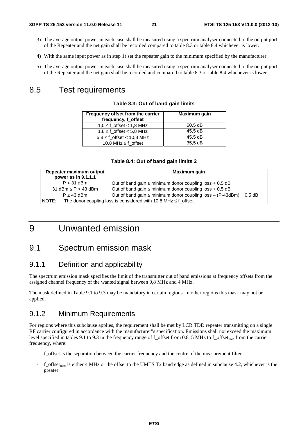- 3) The average output power in each case shall be measured using a spectrum analyser connected to the output port of the Repeater and the net gain shall be recorded compared to table 8.3 or table 8.4 whichever is lower.
- 4) With the same input power as in step 1) set the repeater gain to the minimum specified by the manufacturer.
- 5) The average output power in each case shall be measured using a spectrum analyser connected to the output port of the Repeater and the net gain shall be recorded and compared to table 8.3 or table 8.4 whichever is lower.

## 8.5 Test requirements

| Frequency offset from the carrier<br>frequency, f_offset | Maximum gain |
|----------------------------------------------------------|--------------|
| $1.0 \leq f$ offset < 1.8 MHz                            | $60.5$ dB    |
| $1.8 \leq f$ offset < 5.8 MHz                            | 45.5 dB      |
| $5.8 \leq f$ offset < 10.8 MHz                           | 45.5 dB      |
| 10.8 MHz $\leq$ f offset                                 | 35.5 dB      |

#### **Table 8.3: Out of band gain limits**

| Table 8.4: Out of band gain limits 2 |              |
|--------------------------------------|--------------|
| num output                           | Maximum gain |

| Repeater maximum output<br>power as in 9.1.1.1                               | Maximum gain                                                             |  |
|------------------------------------------------------------------------------|--------------------------------------------------------------------------|--|
| $P < 31$ dBm                                                                 | Out of band gain $\leq$ minimum donor coupling loss + 0,5 dB             |  |
| 31 dBm $\leq$ P $<$ 43 dBm                                                   | Out of band gain $\leq$ minimum donor coupling loss + 0,5 dB             |  |
| $P \geq 43$ dBm                                                              | Out of band gain $\leq$ minimum donor coupling loss – (P-43dBm) + 0,5 dB |  |
| NOTE:<br>The donor coupling loss is considered with 10,8 MHz $\leq$ f_offset |                                                                          |  |

## 9 Unwanted emission

## 9.1 Spectrum emission mask

#### 9.1.1 Definition and applicability

The spectrum emission mask specifies the limit of the transmitter out of band emissions at frequency offsets from the assigned channel frequency of the wanted signal between 0,8 MHz and 4 MHz.

The mask defined in Table 9.1 to 9.3 may be mandatory in certain regions. In other regions this mask may not be applied.

#### 9.1.2 Minimum Requirements

For regions where this subclause applies, the requirement shall be met by LCR TDD repeater transmitting on a single RF carrier configured in accordance with the manufacturer"s specification. Emissions shall not exceed the maximum level specified in tables 9.1 to 9.3 in the frequency range of f\_offset from 0.815 MHz to f\_offset<sub>max</sub> from the carrier frequency, where:

- f\_offset is the separation between the carrier frequency and the centre of the measurement filter
- $f_{\text{offset}_{\text{max}}}$  is either 4 MHz or the offset to the UMTS Tx band edge as defined in subclause 4.2, whichever is the greater.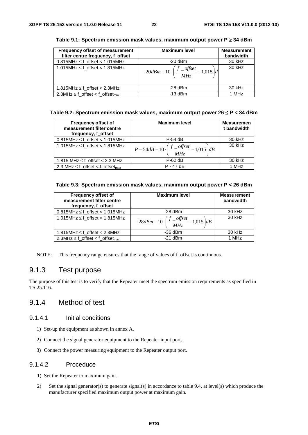| Frequency offset of measurement<br>filter centre frequency, f_offset | <b>Maximum level</b>                                                     | <b>Measurement</b><br>bandwidth |
|----------------------------------------------------------------------|--------------------------------------------------------------------------|---------------------------------|
| $0.815$ MHz $\leq$ f_offset < 1.015MHz                               | $-20$ dBm                                                                | 30 kHz                          |
| 1.015MHz $\leq$ f_offset < 1.815MHz                                  | $-20dBm-10\cdot\left(\frac{f_{\frac{offset}{}}{H}}{100} - 1,015\right)d$ | 30 kHz                          |
| 1.815MHz $\leq$ f_offset < 2.3MHz                                    | $-28$ dBm                                                                | 30 kHz                          |
| 2.3MHz $\leq$ f_offset < f_offset <sub>max</sub>                     | $-13$ dBm                                                                | 1 MHz                           |

#### **Table 9.1: Spectrum emission mask values, maximum output power P** ≥ **34 dBm**

#### **Table 9.2: Spectrum emission mask values, maximum output power 26** ≤ **P < 34 dBm**

| <b>Frequency offset of</b><br>measurement filter centre<br>frequency, f_offset | <b>Maximum level</b>                                        | <b>Measuremen</b><br>t bandwidth |
|--------------------------------------------------------------------------------|-------------------------------------------------------------|----------------------------------|
| $0.815$ MHz $\leq$ f_offset < 1.015MHz                                         | $P-54$ dB                                                   | 30 kHz                           |
| 1.015MHz $\leq$ f_offset < 1.815MHz                                            | $P-54dB-10\cdot\bigg(\frac{f\_{offset}}{MHz}-1,015\bigg)dB$ | 30 kHz                           |
| 1.815 MHz $\leq$ f offset < 2.3 MHz                                            | $P-62$ dB                                                   | 30 kHz                           |
| 2.3 MHz $\leq$ f_offset < f_offset <sub>max</sub>                              | $P - 47$ dB                                                 | 1 MHz                            |

#### **Table 9.3: Spectrum emission mask values, maximum output power P < 26 dBm**

| <b>Frequency offset of</b><br>measurement filter centre<br>frequency, f_offset | <b>Maximum level</b>                                                    | <b>Measurement</b><br>bandwidth |
|--------------------------------------------------------------------------------|-------------------------------------------------------------------------|---------------------------------|
| $0.815$ MHz $\leq$ f_offset < 1.015MHz                                         | $-28$ dBm                                                               | 30 kHz                          |
| 1.015MHz $\leq$ f_offset < 1.815MHz                                            | $1 - 28dBm - 10 \cdot \left( \frac{f - offset}{MHz} - 1,015 \right) dB$ | 30 kHz                          |
| 1.815MHz $\leq$ f offset $<$ 2.3MHz                                            | $-36$ dBm                                                               | 30 kHz                          |
| $2.3$ MHz $\leq$ f_offset < f_offset <sub>max</sub>                            | $-21$ dBm                                                               | 1 MHz                           |

NOTE: This frequency range ensures that the range of values of f offset is continuous.

### 9.1.3 Test purpose

The purpose of this test is to verify that the Repeater meet the spectrum emission requirements as specified in TS 25.116.

### 9.1.4 Method of test

#### 9.1.4.1 Initial conditions

- 1) Set-up the equipment as shown in annex A.
- 2) Connect the signal generator equipment to the Repeater input port.
- 3) Connect the power measuring equipment to the Repeater output port.

#### 9.1.4.2 Proceduce

- 1) Set the Repeater to maximum gain.
- 2) Set the signal generator(s) to generate signal(s) in accordance to table 9.4, at level(s) which produce the manufacturer specified maximum output power at maximum gain.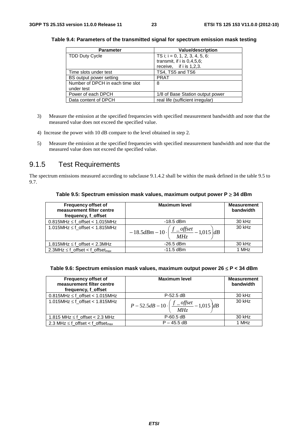| <b>Parameter</b>                 | <b>Value/description</b>          |
|----------------------------------|-----------------------------------|
| <b>TDD Duty Cycle</b>            | TS i; $i = 0, 1, 2, 3, 4, 5, 6$ : |
|                                  | transmit, if $i$ is $0.4.5.6$ ;   |
|                                  | receive, if $i$ is 1,2,3.         |
| Time slots under test            | TS4, TS5 and TS6                  |
| BS output power setting          | <b>PRAT</b>                       |
| Number of DPCH in each time slot | 8                                 |
| under test                       |                                   |
| Power of each DPCH               | 1/8 of Base Station output power  |
| Data content of DPCH             | real life (sufficient irregular)  |

**Table 9.4: Parameters of the transmitted signal for spectrum emission mask testing** 

- 3) Measure the emission at the specified frequencies with specified measurement bandwidth and note that the measured value does not exceed the specified value.
- 4) Increase the power with 10 dB compare to the level obtained in step 2.
- 5) Measure the emission at the specified frequencies with specified measurement bandwidth and note that the measured value does not exceed the specified value.

### 9.1.5 Test Requirements

The spectrum emissions measured according to subclause 9.1.4.2 shall be within the mask defined in the table 9.5 to 9.7.

| Table 9.5: Spectrum emission mask values, maximum output power $P \geq 34$ dBm |  |  |
|--------------------------------------------------------------------------------|--|--|
|--------------------------------------------------------------------------------|--|--|

| <b>Frequency offset of</b><br>measurement filter centre<br>frequency, f_offset | <b>Maximum level</b>                                                        | <b>Measurement</b><br>bandwidth |
|--------------------------------------------------------------------------------|-----------------------------------------------------------------------------|---------------------------------|
| $0.815$ MHz $\leq$ f_offset < 1.015MHz                                         | $-18.5$ dBm                                                                 | 30 kHz                          |
| 1.015MHz $\leq$ f_offset < 1.815MHz                                            | $-18.5dBm - 10 \cdot \left(\frac{f_{\text{}}-offset}{MHz} - 1.015\right)dB$ | 30 kHz                          |
| 1.815MHz $\leq$ f offset $<$ 2.3MHz                                            | $-26.5$ dBm                                                                 | 30 kHz                          |
| 2.3MHz $\leq$ f_offset < f_offset <sub>max</sub>                               | $-11.5$ dBm                                                                 | 1 MHz                           |

| Table 9.6: Spectrum emission mask values, maximum output power 26 $\leq$ P < 34 dBm |  |  |  |
|-------------------------------------------------------------------------------------|--|--|--|
|-------------------------------------------------------------------------------------|--|--|--|

| <b>Frequency offset of</b><br>measurement filter centre<br>frequency, f offset | <b>Maximum level</b>                                          | <b>Measurement</b><br>bandwidth |
|--------------------------------------------------------------------------------|---------------------------------------------------------------|---------------------------------|
| $0.815$ MHz $\leq$ f_offset < 1.015MHz                                         | $P-52.5$ dB                                                   | 30 kHz                          |
| 1.015MHz $\leq$ f_offset < 1.815MHz                                            | $P-52.5dB-10\cdot\bigg(\frac{f\_{offset}}{MHz}-1,015\bigg)dB$ | $30$ kHz                        |
| 1.815 MHz $\leq$ f_offset < 2.3 MHz                                            | $P-60.5$ dB                                                   | 30 kHz                          |
| 2.3 MHz $\leq$ f_offset < f_offset <sub>max</sub>                              | $P - 45.5$ dB                                                 | 1 MHz                           |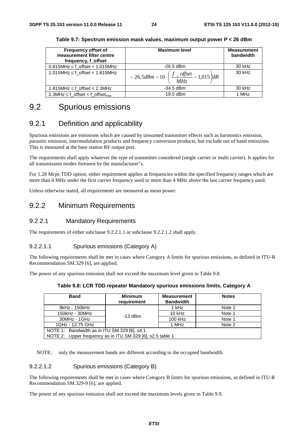| <b>Frequency offset of</b><br>measurement filter centre<br>frequency, f_offset | <b>Maximum level</b>                                                             | <b>Measurement</b><br>bandwidth |
|--------------------------------------------------------------------------------|----------------------------------------------------------------------------------|---------------------------------|
| $0.815$ MHz $\leq$ f_offset < 1.015MHz                                         | $-26.5$ dBm                                                                      | 30 kHz                          |
| 1.015MHz $\leq$ f_offset < 1.815MHz                                            | $-26.5dBm-10 \cdot \left(\frac{f_{\frac{f}{M}}}{M_{\frac{f}{M}}}-1,015\right)dB$ | 30 kHz                          |
| 1.815MHz $\leq$ f offset $<$ 2.3MHz                                            | $-34.5$ dBm                                                                      | 30 kHz                          |
| 2.3MHz $\leq$ f_offset < f_offset <sub>max</sub>                               | $-19.5$ dBm                                                                      | 1 MHz                           |

**Table 9.7: Spectrum emission mask values, maximum output power P < 26 dBm** 

## 9.2 Spurious emissions

### 9.2.1 Definition and applicability

Spurious emissions are emissions which are caused by unwanted transmitter effects such as harmonics emission, parasitic emission, intermodulation products and frequency conversion products, but exclude out of band emissions. This is measured at the base station RF output port.

The requirements shall apply whatever the type of transmitter considered (single carrier or multi carrier). It applies for all transmission modes foreseen by the manufacturer"s.

For 1.28 Mcps TDD option, either requirement applies at frequencies within the specified frequency ranges which are more than 4 MHz under the first carrier frequency used or more than 4 MHz above the last carrier frequency used.

Unless otherwise stated, all requirements are measured as mean power.

#### 9.2.2 Minimum Requirements

#### 9.2.2.1 Mandatory Requirements

The requirements of either subclause 9.2.2.1.1 or subclause 9.2.2.1.2 shall apply.

#### 9.2.2.1.1 Spurious emissions (Category A)

The following requirements shall be met in cases where Category A limits for spurious emissions, as defined in ITU-R Recommendation SM.329 [6], are applied.

The power of any spurious emission shall not exceed the maximum level given in Table 9.8.

|  | Table 9.8: LCR TDD repeater Mandatory spurious emissions limits, Category A |
|--|-----------------------------------------------------------------------------|
|--|-----------------------------------------------------------------------------|

| <b>Band</b>                                                | <b>Minimum</b><br>requirement | <b>Measurement</b><br><b>Bandwidth</b> | <b>Notes</b> |  |
|------------------------------------------------------------|-------------------------------|----------------------------------------|--------------|--|
| 9kHz - 150kHz                                              |                               | 1 kHz                                  | Note 1       |  |
| 150kHz - 30MHz                                             | $-13$ dBm                     | 10 kHz                                 | Note 1       |  |
| $30MHz - 1GHz$                                             |                               | 100 kHz                                | Note 1       |  |
| 1GHz - 12.75 GHz                                           |                               | 1 MHz                                  | Note 2       |  |
| NOTE 1: Bandwidth as in ITU SM.329 [6], s4.1               |                               |                                        |              |  |
| NOTE 2: Upper frequency as in ITU SM.329 [6], s2.5 table 1 |                               |                                        |              |  |

NOTE: only the measurement bands are different according to the occupied bandwidth.

#### 9.2.2.1.2 Spurious emissions (Category B)

The following requirements shall be met in cases where Category B limits for spurious emissions, as defined in ITU-R Recommendation SM.329-9 [6], are applied.

The power of any spurious emission shall not exceed the maximum levels given in Table 9.9.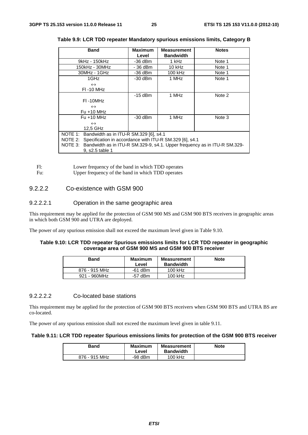| <b>Band</b>                                                                       | <b>Maximum</b> | <b>Measurement</b> | <b>Notes</b> |
|-----------------------------------------------------------------------------------|----------------|--------------------|--------------|
|                                                                                   | Level          | <b>Bandwidth</b>   |              |
| 9kHz - 150kHz                                                                     | -36 dBm        | 1 kHz              | Note 1       |
| 150kHz - 30MHz                                                                    | - 36 dBm       | 10 kHz             | Note 1       |
| 30MHz - 1GHz                                                                      | -36 dBm        | 100 kHz            | Note 1       |
| 1GHz                                                                              | $-30$ dBm      | 1 MHz              | Note 1       |
| $\leftrightarrow$                                                                 |                |                    |              |
| <b>FI-10 MHz</b>                                                                  |                |                    |              |
|                                                                                   | $-15$ dBm      | 1 MHz              | Note 2       |
| $FI -10MHz$                                                                       |                |                    |              |
| $\leftrightarrow$                                                                 |                |                    |              |
| $Fu + 10 MHz$                                                                     |                |                    |              |
| $Fu + 10 MHz$                                                                     | $-30$ dBm      | 1 MHz              | Note 3       |
| $\leftrightarrow$                                                                 |                |                    |              |
| 12.5 GHz                                                                          |                |                    |              |
| NOTE 1: Bandwidth as in ITU-R SM.329 [6], s4.1                                    |                |                    |              |
| NOTE 2: Specification in accordance with ITU-R SM.329 [6], s4.1                   |                |                    |              |
| NOTE 3: Bandwidth as in ITU-R SM.329-9, s4.1. Upper frequency as in ITU-R SM.329- |                |                    |              |
| 9, s2.5 table 1                                                                   |                |                    |              |

**Table 9.9: LCR TDD repeater Mandatory spurious emissions limits, Category B** 

Fl: Lower frequency of the band in which TDD operates<br>Fu: Upper frequency of the band in which TDD operates

Upper frequency of the band in which TDD operates

#### 9.2.2.2 Co-existence with GSM 900

#### 9.2.2.2.1 Operation in the same geographic area

This requirement may be applied for the protection of GSM 900 MS and GSM 900 BTS receivers in geographic areas in which both GSM 900 and UTRA are deployed.

The power of any spurious emission shall not exceed the maximum level given in Table 9.10.

#### **Table 9.10: LCR TDD repeater Spurious emissions limits for LCR TDD repeater in geographic coverage area of GSM 900 MS and GSM 900 BTS receiver**

| <b>Band</b>   | <b>Maximum</b><br>Level | Measurement<br><b>Bandwidth</b> | <b>Note</b> |
|---------------|-------------------------|---------------------------------|-------------|
| 876 - 915 MHz | $-61$ dBm               | 100 kHz                         |             |
| 921 - 960MHz  | $-57$ dBm               | 100 kHz                         |             |

#### 9.2.2.2.2 Co-located base stations

This requirement may be applied for the protection of GSM 900 BTS receivers when GSM 900 BTS and UTRA BS are co-located.

The power of any spurious emission shall not exceed the maximum level given in table 9.11.

#### **Table 9.11: LCR TDD repeater Spurious emissions limits for protection of the GSM 900 BTS receiver**

| Band          | <b>Maximum</b><br>Level | <b>Measurement</b><br><b>Bandwidth</b> | <b>Note</b> |
|---------------|-------------------------|----------------------------------------|-------------|
| 876 - 915 MHz | $-98$ dBm               | 100 kHz                                |             |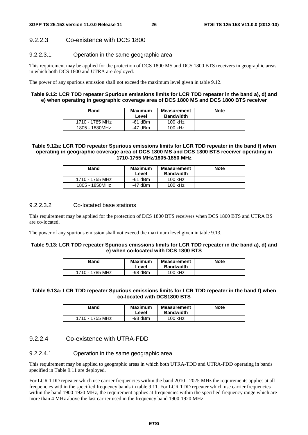#### 9.2.2.3 Co-existence with DCS 1800

#### 9.2.2.3.1 Operation in the same geographic area

This requirement may be applied for the protection of DCS 1800 MS and DCS 1800 BTS receivers in geographic areas in which both DCS 1800 and UTRA are deployed.

The power of any spurious emission shall not exceed the maximum level given in table 9.12.

#### **Table 9.12: LCR TDD repeater Spurious emissions limits for LCR TDD repeater in the band a), d) and e) when operating in geographic coverage area of DCS 1800 MS and DCS 1800 BTS receiver**

| <b>Band</b>     | Maximum<br>Level | Measurement<br><b>Bandwidth</b> | <b>Note</b> |
|-----------------|------------------|---------------------------------|-------------|
| 1710 - 1785 MHz | $-61$ dBm        | 100 kHz                         |             |
| 1805 - 1880MHz  | $-47$ dBm        | 100 kHz                         |             |

#### **Table 9.12a: LCR TDD repeater Spurious emissions limits for LCR TDD repeater in the band f) when operating in geographic coverage area of DCS 1800 MS and DCS 1800 BTS receiver operating in 1710-1755 MHz/1805-1850 MHz**

| <b>Band</b>     | <b>Maximum</b><br>Level | <b>Measurement</b><br><b>Bandwidth</b> | <b>Note</b> |
|-----------------|-------------------------|----------------------------------------|-------------|
| 1710 - 1755 MHz | $-61$ dBm               | $100$ kHz                              |             |
| 1805 - 1850MHz  | -47 dBm                 | $100$ kHz                              |             |

#### 9.2.2.3.2 Co-located base stations

This requirement may be applied for the protection of DCS 1800 BTS receivers when DCS 1800 BTS and UTRA BS are co-located.

The power of any spurious emission shall not exceed the maximum level given in table 9.13.

#### **Table 9.13: LCR TDD repeater Spurious emissions limits for LCR TDD repeater in the band a), d) and e) when co-located with DCS 1800 BTS**

| Band            | <b>Maximum</b><br>Level | <b>Measurement</b><br><b>Bandwidth</b> | <b>Note</b> |
|-----------------|-------------------------|----------------------------------------|-------------|
| 1710 - 1785 MHz | $-98$ dBm               | 100 kHz                                |             |

#### **Table 9.13a: LCR TDD repeater Spurious emissions limits for LCR TDD repeater in the band f) when co-located with DCS1800 BTS**

| Band            | Maximum<br>Level | <b>Measurement</b><br><b>Bandwidth</b> | <b>Note</b> |
|-----------------|------------------|----------------------------------------|-------------|
| 1710 - 1755 MHz | $-98$ dBm        | $100$ kHz                              |             |

#### 9.2.2.4 Co-existence with UTRA-FDD

#### 9.2.2.4.1 Operation in the same geographic area

This requirement may be applied to geographic areas in which both UTRA-TDD and UTRA-FDD operating in bands specified in Table 9.11 are deployed.

For LCR TDD repeater which use carrier frequencies within the band 2010 - 2025 MHz the requirements applies at all frequencies within the specified frequency bands in table 9.11. For LCR TDD repeater which use carrier frequencies within the band 1900-1920 MHz, the requirement applies at frequencies within the specified frequency range which are more than 4 MHz above the last carrier used in the frequency band 1900-1920 MHz.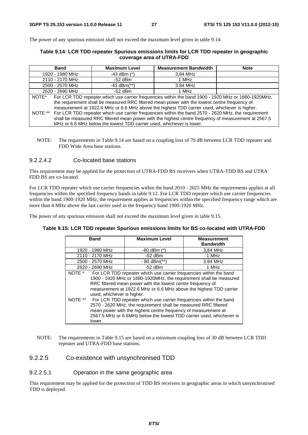The power of any spurious emission shall not exceed the maximum level given in table 9.14.

#### **Table 9.14: LCR TDD repeater Spurious emissions limits for LCR TDD repeater in geographic coverage area of UTRA-FDD**

| <b>Band</b>                                                                                                                                                                                                                                                                                                                                                                                                                                                                                                                                                                                                    | <b>Maximum Level</b> | <b>Measurement Bandwidth</b> | <b>Note</b> |
|----------------------------------------------------------------------------------------------------------------------------------------------------------------------------------------------------------------------------------------------------------------------------------------------------------------------------------------------------------------------------------------------------------------------------------------------------------------------------------------------------------------------------------------------------------------------------------------------------------------|----------------------|------------------------------|-------------|
| 1920 - 1980 MHz                                                                                                                                                                                                                                                                                                                                                                                                                                                                                                                                                                                                | $-43$ dBm $(*)$      | 3,84 MHz                     |             |
| 2110 - 2170 MHz                                                                                                                                                                                                                                                                                                                                                                                                                                                                                                                                                                                                | $-52$ dBm            | 1 MHz                        |             |
| 2500 - 2570 MHz                                                                                                                                                                                                                                                                                                                                                                                                                                                                                                                                                                                                | $-43$ dBm $(**)$     | 3.84 MHz                     |             |
| 2620 - 2690 MHz                                                                                                                                                                                                                                                                                                                                                                                                                                                                                                                                                                                                | $-52$ dBm            | 1 MHz                        |             |
| For LCR TDD repeater which use carrier frequencies within the band 1900 - 1920 MHz or 1880-1920MHz,<br>NOTE*<br>the requirement shall be measured RRC filtered mean power with the lowest centre frequency of<br>measurement at 1922.6 MHz or 6.6 MHz above the highest TDD carrier used, whichever is higher.<br>NOTE ** For LCR TDD repeater which use carrier frequencies within the band 2570 - 2620 MHz, the requirement<br>shall be measured RRC filtered mean power with the highest centre frequency of measurement at 2567.5<br>MHz or 6.6 MHz below the lowest TDD carrier used, whichever is lower. |                      |                              |             |

NOTE: The requirements in Table 9.14 are based on a coupling loss of 70 dB between LCR TDD repeater and FDD Wide Area base stations.

#### 9.2.2.4.2 Co-located base stations

This requirement may be applied for the protection of UTRA-FDD BS receivers when UTRA-TDD BS and UTRA FDD BS are co-located.

For LCR TDD repeater which use carrier frequencies within the band 2010 - 2025 MHz the requirements applies at all frequencies within the specified frequency bands in table 9.12. For LCR TDD repeater which use carrier frequencies within the band 1900-1920 MHz, the requirement applies at frequencies within the specified frequency range which are more than 4 MHz above the last carrier used in the frequency band 1900-1920 MHz.

The power of any spurious emission shall not exceed the maximum level given in table 9.15.

#### **Table 9.15: LCR TDD repeater Spurious emissions limits for BS co-located with UTRA-FDD**

| <b>Band</b>                 | <b>Maximum Level</b>                                                                                                                                                                                                                                                                                                                                                                                                                                                                                                                                                                           | <b>Measurement</b><br><b>Bandwidth</b> |
|-----------------------------|------------------------------------------------------------------------------------------------------------------------------------------------------------------------------------------------------------------------------------------------------------------------------------------------------------------------------------------------------------------------------------------------------------------------------------------------------------------------------------------------------------------------------------------------------------------------------------------------|----------------------------------------|
| 1920 - 1980 MHz             | $-80$ dBm $(*)$                                                                                                                                                                                                                                                                                                                                                                                                                                                                                                                                                                                | 3.84 MHz                               |
| 2110 - 2170 MHz             | $-52$ dBm                                                                                                                                                                                                                                                                                                                                                                                                                                                                                                                                                                                      | 1 MHz                                  |
| 2500 - 2570 MHz             | $-80$ dBm $(**)$                                                                                                                                                                                                                                                                                                                                                                                                                                                                                                                                                                               | 3.84 MHz                               |
| 2620 - 2690 MHz             | $-52$ dBm                                                                                                                                                                                                                                                                                                                                                                                                                                                                                                                                                                                      | 1 MHz                                  |
| NOTE *<br>NOTE **<br>lower. | For LCR TDD repeater which use carrier frequencies within the band<br>1900 - 1920 MHz or 1880-1920MHz, the requirement shall be measured<br>RRC filtered mean power with the lowest centre frequency of<br>measurement at 1922.6 MHz or 6.6 MHz above the highest TDD carrier<br>used, whichever is higher.<br>For LCR TDD repeater which use carrier frequencies within the band<br>2570 - 2620 MHz, the requirement shall be measured RRC filtered<br>mean power with the highest centre frequency of measurement at<br>2567.5 MHz or 6.6MHz below the lowest TDD carrier used, whichever is |                                        |

NOTE: The requirements in Table 9.15 are based on a minimum coupling loss of 30 dB between LCR TDD repeater and UTRA-FDD base stations.

#### 9.2.2.5 Co-existence with unsynchronised TDD

9.2.2.5.1 Operation in the same geographic area

This requirement may be applied for the protection of TDD BS receivers in geographic areas in which unsynchronised TDD is deployed.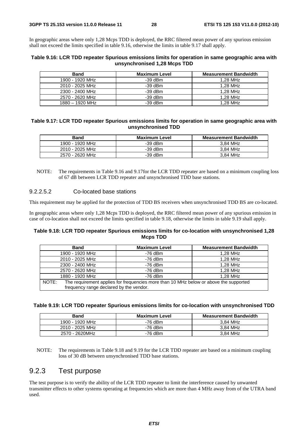In geographic areas where only 1,28 Mcps TDD is deployed, the RRC filtered mean power of any spurious emission shall not exceed the limits specified in table 9.16, otherwise the limits in table 9.17 shall apply.

#### **Table 9.16: LCR TDD repeater Spurious emissions limits for operation in same geographic area with unsynchronised 1,28 Mcps TDD**

| <b>Band</b>       | <b>Maximum Level</b> | <b>Measurement Bandwidth</b> |
|-------------------|----------------------|------------------------------|
| 1900 - 1920 MHz   | $-39$ dBm            | 1.28 MHz                     |
| 2010 - 2025 MHz   | $-39$ dBm            | 1.28 MHz                     |
| 2300 - 2400 MHz   | $-39$ dBm            | 1.28 MHz                     |
| 2570 - 2620 MHz   | $-39$ dBm            | 1.28 MHz                     |
| $1880 - 1920$ MHz | $-39$ dBm            | 1.28 MHz                     |

#### **Table 9.17: LCR TDD repeater Spurious emissions limits for operation in same geographic area with unsynchronised TDD**

| <b>Band</b>     | Maximum Level | <b>Measurement Bandwidth</b> |
|-----------------|---------------|------------------------------|
| 1900 - 1920 MHz | -39 dBm       | 3.84 MHz                     |
| 2010 - 2025 MHz | $-39$ dBm     | 3.84 MHz                     |
| 2570 - 2620 MHz | $-39$ dBm     | 3.84 MHz                     |

NOTE: The requirements in Table 9.16 and 9.17for the LCR TDD repeater are based on a minimum coupling loss of 67 dB between LCR TDD repeater and unsynchronised TDD base stations.

#### 9.2.2.5.2 Co-located base stations

This requirement may be applied for the protection of TDD BS receivers when unsynchronised TDD BS are co-located.

In geographic areas where only 1,28 Mcps TDD is deployed, the RRC filtered mean power of any spurious emission in case of co-location shall not exceed the limits specified in table 9.18, otherwise the limits in table 9.19 shall apply.

#### **Table 9.18: LCR TDD repeater Spurious emissions limits for co-location with unsynchronised 1,28 Mcps TDD**

| <b>Band</b>                                                                                    | <b>Maximum Level</b> | <b>Measurement Bandwidth</b> |  |  |  |
|------------------------------------------------------------------------------------------------|----------------------|------------------------------|--|--|--|
| 1900 - 1920 MHz                                                                                | -76 dBm              | 1,28 MHz                     |  |  |  |
| 2010 - 2025 MHz                                                                                | $-76$ dBm            | 1.28 MHz                     |  |  |  |
| 2300 - 2400 MHz                                                                                | $-76$ dBm            | 1.28 MHz                     |  |  |  |
| 2570 - 2620 MHz                                                                                | $-76$ dBm            | 1.28 MHz                     |  |  |  |
| 1880 - 1920 MHz                                                                                | $-76$ dBm            | 1.28 MHz                     |  |  |  |
| The requirement applies for frequencies more than 10 MHz below or above the supported<br>NOTE: |                      |                              |  |  |  |
| frequency range declared by the vendor.                                                        |                      |                              |  |  |  |

#### **Table 9.19: LCR TDD repeater Spurious emissions limits for co-location with unsynchronised TDD**

| <b>Band</b>     | Maximum Level | <b>Measurement Bandwidth</b> |
|-----------------|---------------|------------------------------|
| 1900 - 1920 MHz | -76 dBm       | 3.84 MHz                     |
| 2010 - 2025 MHz | -76 dBm       | 3.84 MHz                     |
| 2570 - 2620MHz  | -76 dBm       | 3.84 MHz                     |

NOTE: The requirements in Table 9.18 and 9.19 for the LCR TDD repeater are based on a minimum coupling loss of 30 dB between unsynchronised TDD base stations.

### 9.2.3 Test purpose

The test purpose is to verify the ability of the LCR TDD repeater to limit the interference caused by unwanted transmitter effects to other systems operating at frequencies which are more than 4 MHz away from of the UTRA band used.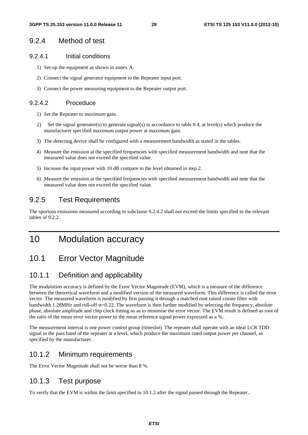#### 9.2.4 Method of test

#### 9.2.4.1 Initial conditions

- 1) Set-up the equipment as shown in annex A.
- 2) Connect the signal generator equipment to the Repeater input port.
- 3) Connect the power measuring equipment to the Repeater output port.

#### 9.2.4.2 Proceduce

- 1) Set the Repeater to maximum gain.
- 2) Set the signal generator(s) to generate signal(s) in accordance to table 9.4, at level(s) which produce the manufacturer specified maximum output power at maximum gain.
- 3) The detecting device shall be configured with a measurement bandwidth as stated in the tables.
- 4) Measure the emission at the specified frequencies with specified measurement bandwidth and note that the measured value does not exceed the specified value.
- 5) Increase the input power with 10 dB compare to the level obtained in step 2.
- 6) Measure the emission at the specified frequencies with specified measurement bandwidth and note that the measured value does not exceed the specified value.

### 9.2.5 Test Requirements

The spurious emissions measured according to subclause 9.2.4.2 shall not exceed the limits specified in the relevant tables of 9.2.2.

## 10 Modulation accuracy

## 10.1 Error Vector Magnitude

### 10.1.1 Definition and applicability

The modulation accuracy is defined by the Error Vector Magnitude (EVM), which is a measure of the difference between the theoretical waveform and a modified version of the measured waveform. This difference is called the error vector. The measured waveform is modified by first passing it through a matched root raised cosine filter with bandwidth 1.28MHz and roll-off  $\alpha$ =0.22. The waveform is then further modified by selecting the frequency, absolute phase, absolute amplitude and chip clock timing so as to minimise the error vector. The EVM result is defined as root of the ratio of the mean error vector power to the mean reference signal power expressed as a %.

The measurement interval is one power control group (timeslot). The repeater shall operate with an ideal LCR TDD signal in the pass band of the repeater at a level, which produce the maximum rated output power per channel, as specified by the manufacturer.

#### 10.1.2 Minimum requirements

The Error Vector Magnitude shall not be worse than 8 %.

#### 10.1.3 Test purpose

To verify that the EVM is within the limit specified in 10.1.2 after the signal passed through the Repeater..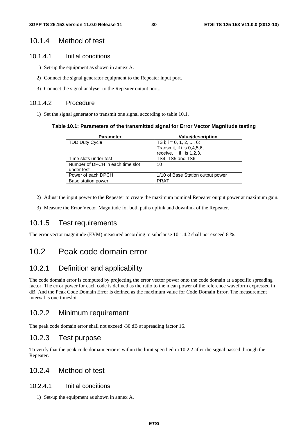#### 10.1.4 Method of test

#### 10.1.4.1 Initial conditions

- 1) Set-up the equipment as shown in annex A.
- 2) Connect the signal generator equipment to the Repeater input port.
- 3) Connect the signal analyser to the Repeater output port..

#### 10.1.4.2 Procedure

1) Set the signal generator to transmit one signal according to table 10.1.

#### **Table 10.1: Parameters of the transmitted signal for Error Vector Magnitude testing**

| <b>Parameter</b>                 | <b>Value/description</b>          |
|----------------------------------|-----------------------------------|
| <b>TDD Duty Cycle</b>            | TS i; $i = 0, 1, 2, , 6$ :        |
|                                  | Transmit, if i is 0,4,5,6;        |
|                                  | receive, if i is 1,2,3.           |
| Time slots under test            | TS4, TS5 and TS6                  |
| Number of DPCH in each time slot | 10                                |
| under test                       |                                   |
| Power of each DPCH               | 1/10 of Base Station output power |
| Base station power               | <b>PRAT</b>                       |

- 2) Adjust the input power to the Repeater to create the maximum nominal Repeater output power at maximum gain.
- 3) Measure the Error Vector Magnitude for both paths uplink and downlink of the Repeater.

#### 10.1.5 Test requirements

The error vector magnitude (EVM) measured according to subclause 10.1.4.2 shall not exceed 8 %.

## 10.2 Peak code domain error

#### 10.2.1 Definition and applicability

The code domain error is computed by projecting the error vector power onto the code domain at a specific spreading factor. The error power for each code is defined as the ratio to the mean power of the reference waveform expressed in dB. And the Peak Code Domain Error is defined as the maximum value for Code Domain Error. The measurement interval is one timeslot.

#### 10.2.2 Minimum requirement

The peak code domain error shall not exceed -30 dB at spreading factor 16.

#### 10.2.3 Test purpose

To verify that the peak code domain error is within the limit specified in 10.2.2 after the signal passed through the Repeater.

### 10.2.4 Method of test

#### 10.2.4.1 Initial conditions

1) Set-up the equipment as shown in annex A.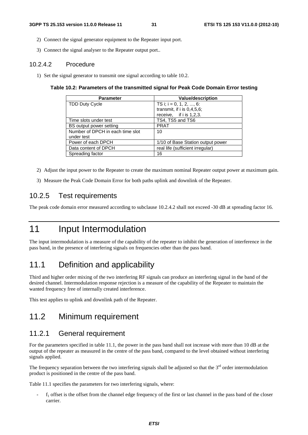- 2) Connect the signal generator equipment to the Repeater input port.
- 3) Connect the signal analyser to the Repeater output port..

#### 10.2.4.2 Procedure

1) Set the signal generator to transmit one signal according to table 10.2.

#### **Table 10.2: Parameters of the transmitted signal for Peak Code Domain Error testing**

| <b>Parameter</b>                 | <b>Value/description</b>          |
|----------------------------------|-----------------------------------|
| <b>TDD Duty Cycle</b>            | TS i; i = 0, 1, 2, , 6:           |
|                                  | transmit, if $i$ is 0,4,5,6;      |
|                                  | receive, if $i$ is 1,2,3.         |
| Time slots under test            | TS4, TS5 and TS6                  |
| BS output power setting          | <b>PRAT</b>                       |
| Number of DPCH in each time slot | 10                                |
| under test                       |                                   |
| Power of each DPCH               | 1/10 of Base Station output power |
| Data content of DPCH             | real life (sufficient irregular)  |
| Spreading factor                 | 16                                |

- 2) Adjust the input power to the Repeater to create the maximum nominal Repeater output power at maximum gain.
- 3) Measure the Peak Code Domain Error for both paths uplink and downlink of the Repeater.

### 10.2.5 Test requirements

The peak code domain error measured according to subclause 10.2.4.2 shall not exceed -30 dB at spreading factor 16.

## 11 Input Intermodulation

The input intermodulation is a measure of the capability of the repeater to inhibit the generation of interference in the pass band, in the presence of interfering signals on frequencies other than the pass band.

## 11.1 Definition and applicability

Third and higher order mixing of the two interfering RF signals can produce an interfering signal in the band of the desired channel. Intermodulation response rejection is a measure of the capability of the Repeater to maintain the wanted frequency free of internally created interference.

This test applies to uplink and downlink path of the Repeater.

### 11.2 Minimum requirement

#### 11.2.1 General requirement

For the parameters specified in table 11.1, the power in the pass band shall not increase with more than 10 dB at the output of the repeater as measured in the centre of the pass band, compared to the level obtained without interfering signals applied.

The frequency separation between the two interfering signals shall be adjusted so that the  $3<sup>rd</sup>$  order intermodulation product is positioned in the centre of the pass band.

Table 11.1 specifies the parameters for two interfering signals, where:

 $f_1$  offset is the offset from the channel edge frequency of the first or last channel in the pass band of the closer carrier.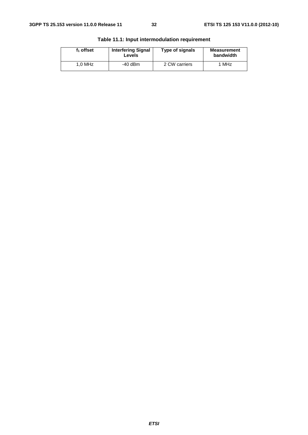| $f_1$ offset | <b>Interfering Signal</b><br>Levels | Type of signals | <b>Measurement</b><br>bandwidth |
|--------------|-------------------------------------|-----------------|---------------------------------|
| $1.0$ MHz    | $-40$ dBm                           | 2 CW carriers   | 1 MHz                           |

**Table 11.1: Input intermodulation requirement**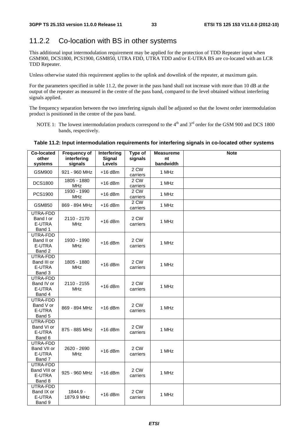## 11.2.2 Co-location with BS in other systems

This additional input intermodulation requirement may be applied for the protection of TDD Repeater input when GSM900, DCS1800, PCS1900, GSM850, UTRA FDD, UTRA TDD and/or E-UTRA BS are co-located with an LCR TDD Repeater.

Unless otherwise stated this requirement applies to the uplink and downlink of the repeater, at maximum gain.

For the parameters specified in table 11.2, the power in the pass band shall not increase with more than 10 dB at the output of the repeater as measured in the centre of the pass band, compared to the level obtained without interfering signals applied.

The frequency separation between the two interfering signals shall be adjusted so that the lowest order intermodulation product is positioned in the centre of the pass band.

NOTE 1: The lowest intermodulation products correspond to the  $4<sup>th</sup>$  and  $3<sup>rd</sup>$  order for the GSM 900 and DCS 1800 bands, respectively.

#### **Table 11.2: Input intermodulation requirements for interfering signals in co-located other systems**

| Co-located<br>other<br>systems               | <b>Frequency of</b><br>interfering<br>signals | Interfering<br><b>Signal</b><br>Levels | Type of<br>signals | <b>Measureme</b><br>nt<br>bandwidth | <b>Note</b> |
|----------------------------------------------|-----------------------------------------------|----------------------------------------|--------------------|-------------------------------------|-------------|
| <b>GSM900</b>                                | 921 - 960 MHz                                 | $+16$ dBm                              | $2$ CW<br>carriers | 1 MHz                               |             |
| <b>DCS1800</b>                               | 1805 - 1880<br><b>MHz</b>                     | $+16$ dBm                              | 2 CW<br>carriers   | 1 MHz                               |             |
| PCS1900                                      | 1930 - 1990<br><b>MHz</b>                     | $+16$ dBm                              | 2 CW<br>carriers   | 1 MHz                               |             |
| GSM850                                       | 869 - 894 MHz                                 | $+16$ dBm                              | 2 CW<br>carriers   | 1 MHz                               |             |
| UTRA-FDD<br>Band I or<br>E-UTRA<br>Band 1    | 2110 - 2170<br><b>MHz</b>                     | $+16$ dBm                              | 2 CW<br>carriers   | 1 MHz                               |             |
| UTRA-FDD<br>Band II or<br>E-UTRA<br>Band 2   | 1930 - 1990<br><b>MHz</b>                     | $+16$ dBm                              | 2 CW<br>carriers   | 1 MHz                               |             |
| UTRA-FDD<br>Band III or<br>E-UTRA<br>Band 3  | 1805 - 1880<br><b>MHz</b>                     | $+16$ dBm                              | 2 CW<br>carriers   | 1 MHz                               |             |
| UTRA-FDD<br>Band IV or<br>E-UTRA<br>Band 4   | 2110 - 2155<br><b>MHz</b>                     | $+16$ dBm                              | 2 CW<br>carriers   | 1 MHz                               |             |
| UTRA-FDD<br>Band V or<br>E-UTRA<br>Band 5    | 869 - 894 MHz                                 | $+16$ dBm                              | 2 CW<br>carriers   | 1 MHz                               |             |
| UTRA-FDD<br>Band VI or<br>E-UTRA<br>Band 6   | 875 - 885 MHz                                 | $+16$ dBm                              | 2 CW<br>carriers   | 1 MHz                               |             |
| UTRA-FDD<br>Band VII or<br>E-UTRA<br>Band 7  | 2620 - 2690<br><b>MHz</b>                     | $+16$ dBm                              | 2 CW<br>carriers   | 1 MHz                               |             |
| UTRA-FDD<br>Band VIII or<br>E-UTRA<br>Band 8 | 925 - 960 MHz                                 | $+16$ dBm                              | 2 CW<br>carriers   | 1 MHz                               |             |
| UTRA-FDD<br>Band IX or<br>E-UTRA<br>Band 9   | 1844.9 -<br>1879.9 MHz                        | $+16$ dBm                              | 2 CW<br>carriers   | 1 MHz                               |             |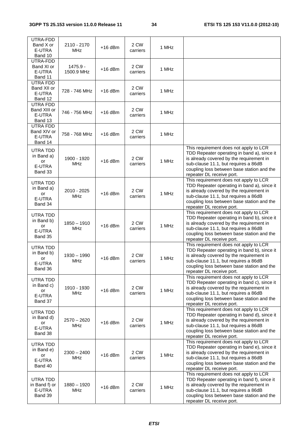| UTRA-FDD                                                 |                             |           |                  |       |                                                                                                                                                                                                                                                      |
|----------------------------------------------------------|-----------------------------|-----------|------------------|-------|------------------------------------------------------------------------------------------------------------------------------------------------------------------------------------------------------------------------------------------------------|
| Band X or<br>E-UTRA<br>Band 10                           | 2110 - 2170<br><b>MHz</b>   | $+16$ dBm | 2 CW<br>carriers | 1 MHz |                                                                                                                                                                                                                                                      |
| UTRA-FDD<br>Band XI or<br>E-UTRA<br>Band 11              | $1475.9 -$<br>1500.9 MHz    | $+16$ dBm | 2 CW<br>carriers | 1 MHz |                                                                                                                                                                                                                                                      |
| UTRA FDD<br>Band XII or<br>E-UTRA<br>Band 12             | 728 - 746 MHz               | +16 dBm   | 2 CW<br>carriers | 1 MHz |                                                                                                                                                                                                                                                      |
| UTRA FDD<br>Band XIII or<br>E-UTRA<br>Band 13            | 746 - 756 MHz               | +16 dBm   | 2 CW<br>carriers | 1 MHz |                                                                                                                                                                                                                                                      |
| UTRA FDD<br>Band XIV or<br>E-UTRA<br>Band 14             | 758 - 768 MHz               | +16 dBm   | 2 CW<br>carriers | 1 MHz |                                                                                                                                                                                                                                                      |
| UTRA TDD<br>in Band a)<br>or<br>E-UTRA<br>Band 33        | 1900 - 1920<br><b>MHz</b>   | $+16$ dBm | 2 CW<br>carriers | 1 MHz | This requirement does not apply to LCR<br>TDD Repeater operating in band a), since it<br>is already covered by the requirement in<br>sub-clause 11.1, but requires a 86dB<br>coupling loss between base station and the<br>repeater DL receive port. |
| <b>UTRA TDD</b><br>in Band a)<br>or<br>E-UTRA<br>Band 34 | 2010 - 2025<br><b>MHz</b>   | $+16$ dBm | 2 CW<br>carriers | 1 MHz | This requirement does not apply to LCR<br>TDD Repeater operating in band a), since it<br>is already covered by the requirement in<br>sub-clause 11.1, but requires a 86dB<br>coupling loss between base station and the<br>repeater DL receive port. |
| UTRA TDD<br>in Band b)<br>or<br>E-UTRA<br>Band 35        | $1850 - 1910$<br><b>MHz</b> | $+16$ dBm | 2 CW<br>carriers | 1 MHz | This requirement does not apply to LCR<br>TDD Repeater operating in band b), since it<br>is already covered by the requirement in<br>sub-clause 11.1, but requires a 86dB<br>coupling loss between base station and the<br>repeater DL receive port. |
| UTRA TDD<br>in Band b)<br>or<br>E-UTRA<br>Band 36        | $1930 - 1990$<br><b>MHz</b> | $+16$ dBm | 2 CW<br>carriers | 1 MHz | This requirement does not apply to LCR<br>TDD Repeater operating in band b), since it<br>is already covered by the requirement in<br>sub-clause 11.1, but requires a 86dB<br>coupling loss between base station and the<br>repeater DL receive port. |
| UTRA TDD<br>in Band c)<br>or<br>E-UTRA<br>Band 37        | 1910 - 1930<br>MHz          | $+16$ dBm | 2 CW<br>carriers | 1 MHz | This requirement does not apply to LCR<br>TDD Repeater operating in band c), since it<br>is already covered by the requirement in<br>sub-clause 11.1, but requires a 86dB<br>coupling loss between base station and the<br>repeater DL receive port. |
| UTRA TDD<br>in Band d)<br>or<br>E-UTRA<br>Band 38        | $2570 - 2620$<br>MHz        | $+16$ dBm | 2 CW<br>carriers | 1 MHz | This requirement does not apply to LCR<br>TDD Repeater operating in band d), since it<br>is already covered by the requirement in<br>sub-clause 11.1, but requires a 86dB<br>coupling loss between base station and the<br>repeater DL receive port. |
| UTRA TDD<br>in Band e)<br>or<br>E-UTRA<br>Band 40        | $2300 - 2400$<br><b>MHz</b> | $+16$ dBm | 2 CW<br>carriers | 1 MHz | This requirement does not apply to LCR<br>TDD Repeater operating in band e), since it<br>is already covered by the requirement in<br>sub-clause 11.1, but requires a 86dB<br>coupling loss between base station and the<br>repeater DL receive port. |
| UTRA TDD<br>in Band f) or<br>E-UTRA<br>Band 39           | $1880 - 1920$<br>MHz        | $+16$ dBm | 2 CW<br>carriers | 1 MHz | This requirement does not apply to LCR<br>TDD Repeater operating in band f), since it<br>is already covered by the requirement in<br>sub-clause 11.1, but requires a 86dB<br>coupling loss between base station and the<br>repeater DL receive port. |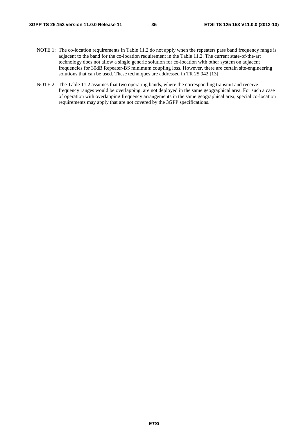- NOTE 1: The co-location requirements in Table 11.2 do not apply when the repeaters pass band frequency range is adjacent to the band for the co-location requirement in the Table 11.2. The current state-of-the-art technology does not allow a single generic solution for co-location with other system on adjacent frequencies for 30dB Repeater-BS minimum coupling loss. However, there are certain site-engineering solutions that can be used. These techniques are addressed in TR 25.942 [13].
- NOTE 2: The Table 11.2 assumes that two operating bands, where the corresponding transmit and receive frequency ranges would be overlapping, are not deployed in the same geographical area. For such a case of operation with overlapping frequency arrangements in the same geographical area, special co-location requirements may apply that are not covered by the 3GPP specifications.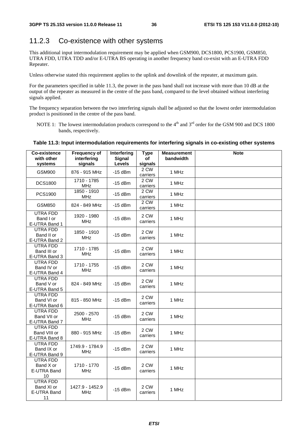### 11.2.3 Co-existence with other systems

This additional input intermodulation requirement may be applied when GSM900, DCS1800, PCS1900, GSM850, UTRA FDD, UTRA TDD and/or E-UTRA BS operating in another frequency band co-exist with an E-UTRA FDD Repeater.

Unless otherwise stated this requirement applies to the uplink and downlink of the repeater, at maximum gain.

For the parameters specified in table 11.3, the power in the pass band shall not increase with more than 10 dB at the output of the repeater as measured in the centre of the pass band, compared to the level obtained without interfering signals applied.

The frequency separation between the two interfering signals shall be adjusted so that the lowest order intermodulation product is positioned in the centre of the pass band.

NOTE 1: The lowest intermodulation products correspond to the  $4<sup>th</sup>$  and  $3<sup>rd</sup>$  order for the GSM 900 and DCS 1800 bands, respectively.

#### **Table 11.3: Input intermodulation requirements for interfering signals in co-existing other systems**

| Co-existence<br>with other<br>systems              | <b>Frequency of</b><br>interfering<br>signals | Interfering<br>Signal<br>Levels | <b>Type</b><br>of<br>signals | <b>Measurement</b><br>bandwidth | <b>Note</b> |
|----------------------------------------------------|-----------------------------------------------|---------------------------------|------------------------------|---------------------------------|-------------|
| <b>GSM900</b>                                      | 876 - 915 MHz                                 | $-15$ dBm                       | 2 CW<br>carriers             | 1 MHz                           |             |
| <b>DCS1800</b>                                     | 1710 - 1785<br><b>MHz</b>                     | $-15$ dBm                       | 2 CW<br>carriers             | 1 MHz                           |             |
| PCS1900                                            | 1850 - 1910<br><b>MHz</b>                     | $-15$ dBm                       | 2 CW<br>carriers             | 1 MHz                           |             |
| GSM850                                             | 824 - 849 MHz                                 | $-15$ dBm                       | 2 CW<br>carriers             | 1 MHz                           |             |
| UTRA FDD<br>Band I or<br>E-UTRA Band 1             | 1920 - 1980<br><b>MHz</b>                     | $-15$ dBm                       | 2 CW<br>carriers             | 1 MHz                           |             |
| UTRA FDD<br>Band II or<br>E-UTRA Band 2            | 1850 - 1910<br><b>MHz</b>                     | $-15$ dBm                       | 2 CW<br>carriers             | 1 MHz                           |             |
| UTRA FDD<br>Band III or<br>E-UTRA Band 3           | 1710 - 1785<br><b>MHz</b>                     | $-15$ dBm                       | 2 CW<br>carriers             | 1 MHz                           |             |
| <b>UTRA FDD</b><br>Band IV or<br>E-UTRA Band 4     | 1710 - 1755<br><b>MHz</b>                     | $-15$ dBm                       | 2 CW<br>carriers             | 1 MHz                           |             |
| UTRA FDD<br>Band V or<br>E-UTRA Band 5             | 824 - 849 MHz                                 | $-15$ dBm                       | 2 CW<br>carriers             | 1 MHz                           |             |
| <b>UTRA FDD</b><br>Band VI or<br>E-UTRA Band 6     | 815 - 850 MHz                                 | $-15$ dBm                       | 2 CW<br>carriers             | 1 MHz                           |             |
| UTRA FDD<br>Band VII or<br>E-UTRA Band 7           | 2500 - 2570<br><b>MHz</b>                     | $-15$ dBm                       | 2 CW<br>carriers             | 1 MHz                           |             |
| <b>UTRA FDD</b><br>Band VIII or<br>E-UTRA Band 8   | 880 - 915 MHz                                 | $-15$ dBm                       | 2 CW<br>carriers             | 1 MHz                           |             |
| UTRA FDD<br>Band IX or<br>E-UTRA Band 9            | 1749.9 - 1784.9<br><b>MHz</b>                 | $-15$ dBm                       | 2 CW<br>carriers             | 1 MHz                           |             |
| <b>UTRA FDD</b><br>Band X or<br>E-UTRA Band<br>10  | 1710 - 1770<br><b>MHz</b>                     | $-15$ dBm                       | 2 CW<br>carriers             | 1 MHz                           |             |
| <b>UTRA FDD</b><br>Band XI or<br>E-UTRA Band<br>11 | 1427.9 - 1452.9<br><b>MHz</b>                 | $-15$ dBm                       | 2 CW<br>carriers             | 1 MHz                           |             |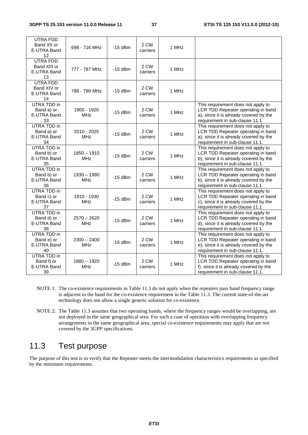| UTRA FDD<br>Band XII or<br>E-UTRA Band<br>12          | 698 - 716 MHz               | $-15$ dBm | 2 CW<br>carriers | 1 MHz |                                                                                                                                                       |
|-------------------------------------------------------|-----------------------------|-----------|------------------|-------|-------------------------------------------------------------------------------------------------------------------------------------------------------|
| <b>UTRA FDD</b><br>Band XIII or<br>E-UTRA Band<br>13  | 777 - 787 MHz               | $-15$ dBm | 2 CW<br>carriers | 1 MHz |                                                                                                                                                       |
| <b>UTRA FDD</b><br>Band XIV or<br>E-UTRA Band<br>14   | 788 - 798 MHz               | $-15$ dBm | 2 CW<br>carriers | 1 MHz |                                                                                                                                                       |
| <b>UTRA TDD in</b><br>Band a) or<br>E-UTRA Band<br>33 | 1900 - 1920<br><b>MHz</b>   | $-15$ dBm | 2 CW<br>carriers | 1 MHz | This requirement does not apply to<br>LCR TDD Repeater operating in band<br>a), since it is already covered by the<br>requirement in sub-clause 11.1. |
| <b>UTRA TDD in</b><br>Band a) or<br>E-UTRA Band<br>34 | 2010 - 2025<br><b>MHz</b>   | $-15$ dBm | 2 CW<br>carriers | 1 MHz | This requirement does not apply to<br>LCR TDD Repeater operating in band<br>a), since it is already covered by the<br>requirement in sub-clause 11.1. |
| UTRA TDD in<br>Band b) or<br>E-UTRA Band<br>35        | $1850 - 1910$<br><b>MHz</b> | $-15$ dBm | 2 CW<br>carriers | 1 MHz | This requirement does not apply to<br>LCR TDD Repeater operating in band<br>b), since it is already covered by the<br>requirement in sub-clause 11.1. |
| <b>UTRA TDD in</b><br>Band b) or<br>E-UTRA Band<br>36 | $1930 - 1990$<br><b>MHz</b> | $-15$ dBm | 2 CW<br>carriers | 1 MHz | This requirement does not apply to<br>LCR TDD Repeater operating in band<br>b), since it is already covered by the<br>requirement in sub-clause 11.1. |
| <b>UTRA TDD in</b><br>Band c) or<br>E-UTRA Band<br>37 | 1910 - 1930<br><b>MHz</b>   | $-15$ dBm | 2 CW<br>carriers | 1 MHz | This requirement does not apply to<br>LCR TDD Repeater operating in band<br>c), since it is already covered by the<br>requirement in sub-clause 11.1. |
| <b>UTRA TDD in</b><br>Band d) or<br>E-UTRA Band<br>38 | $2570 - 2620$<br><b>MHz</b> | $-15$ dBm | 2 CW<br>carriers | 1 MHz | This requirement does not apply to<br>LCR TDD Repeater operating in band<br>d), since it is already covered by the<br>requirement in sub-clause 11.1. |
| <b>UTRA TDD in</b><br>Band e) or<br>E-UTRA Band<br>40 | $2300 - 2400$<br><b>MHz</b> | $-15$ dBm | 2 CW<br>carriers | 1 MHz | This requirement does not apply to<br>LCR TDD Repeater operating in band<br>e), since it is already covered by the<br>requirement in sub-clause 11.1. |
| <b>UTRA TDD in</b><br>Band f) or<br>E-UTRA Band<br>39 | $1880 - 1920$<br><b>MHz</b> | $-15$ dBm | 2 CW<br>carriers | 1 MHz | This requirement does not apply to<br>LCR TDD Repeater operating in band<br>f), since it is already covered by the<br>requirement in sub-clause 11.1. |

- NOTE 1: The co-existence requirements in Table 11.3 do not apply when the repeaters pass band frequency range is adjacent to the band for the co-existence requirement in the Table 11.3. The current state-of-the-art technology does not allow a single generic solution for co-existence.
- NOTE 2: The Table 11.3 assumes that two operating bands, where the frequency ranges would be overlapping, are not deployed in the same geographical area. For such a case of operation with overlapping frequency arrangements in the same geographical area, special co-existence requirements may apply that are not covered by the 3GPP specifications.

## 11.3 Test purpose

The purpose of this test is to verify that the Repeater meets the intermodulation characteristics requirements as specified by the minimum requirements.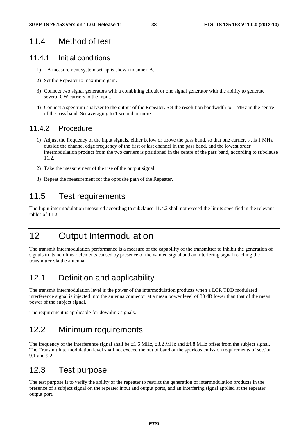### 11.4 Method of test

### 11.4.1 Initial conditions

- 1) A measurement system set-up is shown in annex A.
- 2) Set the Repeater to maximum gain.
- 3) Connect two signal generators with a combining circuit or one signal generator with the ability to generate several CW carriers to the input.
- 4) Connect a spectrum analyser to the output of the Repeater. Set the resolution bandwidth to 1 MHz in the centre of the pass band. Set averaging to 1 second or more.

### 11.4.2 Procedure

- 1) Adjust the frequency of the input signals, either below or above the pass band, so that one carrier,  $f_1$ , is 1 MHz outside the channel edge frequency of the first or last channel in the pass band, and the lowest order intermodulation product from the two carriers is positioned in the centre of the pass band, according to subclause 11.2.
- 2) Take the measurement of the rise of the output signal.
- 3) Repeat the measurement for the opposite path of the Repeater.

## 11.5 Test requirements

The Input intermodulation measured according to subclause 11.4.2 shall not exceed the limits specified in the relevant tables of 11.2.

## 12 Output Intermodulation

The transmit intermodulation performance is a measure of the capability of the transmitter to inhibit the generation of signals in its non linear elements caused by presence of the wanted signal and an interfering signal reaching the transmitter via the antenna.

## 12.1 Definition and applicability

The transmit intermodulation level is the power of the intermodulation products when a LCR TDD modulated interference signal is injected into the antenna connector at a mean power level of 30 dB lower than that of the mean power of the subject signal.

The requirement is applicable for downlink signals.

## 12.2 Minimum requirements

The frequency of the interference signal shall be  $\pm 1.6$  MHz,  $\pm 3.2$  MHz and  $\pm 4.8$  MHz offset from the subject signal. The Transmit intermodulation level shall not exceed the out of band or the spurious emission requirements of section 9.1 and 9.2.

## 12.3 Test purpose

The test purpose is to verify the ability of the repeater to restrict the generation of intermodulation products in the presence of a subject signal on the repeater input and output ports, and an interfering signal applied at the repeater output port.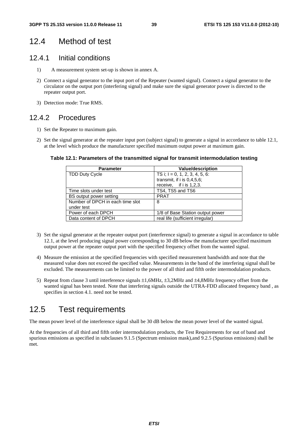## 12.4 Method of test

#### 12.4.1 Initial conditions

- 1) A measurement system set-up is shown in annex A.
- 2) Connect a signal generator to the input port of the Repeater (wanted signal). Connect a signal generator to the circulator on the output port (interfering signal) and make sure the signal generator power is directed to the repeater output port.
- 3) Detection mode: True RMS.

### 12.4.2 Procedures

- 1) Set the Repeater to maximum gain.
- 2) Set the signal generator at the repeater input port (subject signal) to generate a signal in accordance to table 12.1, at the level which produce the manufacturer specified maximum output power at maximum gain.

#### **Table 12.1: Parameters of the transmitted signal for transmit intermodulation testing**

| <b>Parameter</b>                 | <b>Value/description</b>          |
|----------------------------------|-----------------------------------|
| <b>TDD Duty Cycle</b>            | TS i; $I = 0, 1, 2, 3, 4, 5, 6$ : |
|                                  | transmit, if $i$ is 0,4,5,6;      |
|                                  | receive, if i is 1,2,3.           |
| Time slots under test            | TS4, TS5 and TS6                  |
| BS output power setting          | <b>PRAT</b>                       |
| Number of DPCH in each time slot | 8                                 |
| under test                       |                                   |
| Power of each DPCH               | 1/8 of Base Station output power  |
| Data content of DPCH             | real life (sufficient irregular)  |

- 3) Set the signal generator at the repeater output port (interference signal) to generate a signal in accordance to table 12.1, at the level producing signal power corresponding to 30 dB below the manufacturer specified maximum output power at the repeater output port with the specified frequency offset from the wanted signal.
- 4) Measure the emission at the specified frequencies with specified measurement bandwidth and note that the measured value does not exceed the specified value. Measurements in the band of the interfering signal shall be excluded. The measurements can be limited to the power of all third and fifth order intermodulation products.
- 5) Repeat from clause 3 until interference signals ±1,6MHz, ±3,2MHz and ±4,8MHz frequency offset from the wanted signal has been tested. Note that interfering signals outside the UTRA-FDD allocated frequency band , as specifies in section 4.1. need not be tested.

## 12.5 Test requirements

The mean power level of the interference signal shall be 30 dB below the mean power level of the wanted signal.

At the frequencies of all third and fifth order intermodulation products, the Test Requirements for out of band and spurious emissions as specified in subclauses 9.1.5 (Spectrum emission mask),and 9.2.5 (Spurious emissions) shall be met.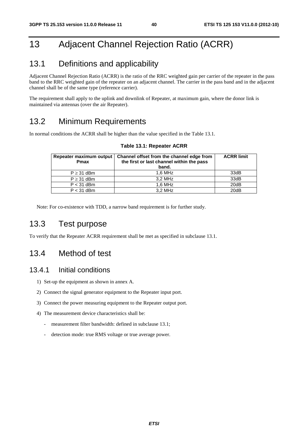## 13 Adjacent Channel Rejection Ratio (ACRR)

## 13.1 Definitions and applicability

Adjacent Channel Rejection Ratio (ACRR) is the ratio of the RRC weighted gain per carrier of the repeater in the pass band to the RRC weighted gain of the repeater on an adjacent channel. The carrier in the pass band and in the adjacent channel shall be of the same type (reference carrier).

The requirement shall apply to the uplink and downlink of Repeater, at maximum gain, where the donor link is maintained via antennas (over the air Repeater).

## 13.2 Minimum Requirements

In normal conditions the ACRR shall be higher than the value specified in the Table 13.1.

| Repeater maximum output<br><b>Pmax</b> | Channel offset from the channel edge from<br>the first or last channel within the pass<br>band. | <b>ACRR limit</b> |
|----------------------------------------|-------------------------------------------------------------------------------------------------|-------------------|
| $P \geq 31$ dBm                        | $1.6$ MHz                                                                                       | 33dB              |
| $P \geq 31$ dBm                        | 3.2 MHz                                                                                         | 33dB              |
| $P < 31$ dBm                           | 1.6 MHz                                                                                         | 20dB              |
| $P < 31$ dBm                           | 3.2 MHz                                                                                         | 20dB              |

#### **Table 13.1: Repeater ACRR**

Note: For co-existence with TDD, a narrow band requirement is for further study.

## 13.3 Test purpose

To verify that the Repeater ACRR requirement shall be met as specified in subclause 13.1.

## 13.4 Method of test

#### 13.4.1 Initial conditions

- 1) Set-up the equipment as shown in annex A.
- 2) Connect the signal generator equipment to the Repeater input port.
- 3) Connect the power measuring equipment to the Repeater output port.
- 4) The measurement device characteristics shall be:
	- measurement filter bandwidth: defined in subclause 13.1;
	- detection mode: true RMS voltage or true average power.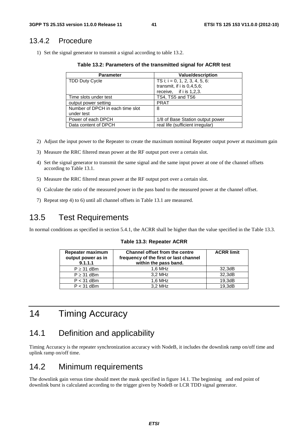### 13.4.2 Procedure

1) Set the signal generator to transmit a signal according to table 13.2.

**Table 13.2: Parameters of the transmitted signal for ACRR test** 

| <b>Parameter</b>                 | <b>Value/description</b>          |
|----------------------------------|-----------------------------------|
| <b>TDD Duty Cycle</b>            | TS i; $i = 0, 1, 2, 3, 4, 5, 6$ : |
|                                  | transmit, if $i$ is $0.4.5.6$ ;   |
|                                  | receive, if $i$ is 1,2,3.         |
| Time slots under test            | TS4, TS5 and TS6                  |
| output power setting             | <b>PRAT</b>                       |
| Number of DPCH in each time slot | 8                                 |
| under test                       |                                   |
| Power of each DPCH               | 1/8 of Base Station output power  |
| Data content of DPCH             | real life (sufficient irregular)  |

- 2) Adjust the input power to the Repeater to create the maximum nominal Repeater output power at maximum gain
- 3) Measure the RRC filtered mean power at the RF output port over a certain slot.
- 4) Set the signal generator to transmit the same signal and the same input power at one of the channel offsets according to Table 13.1.
- 5) Measure the RRC filtered mean power at the RF output port over a certain slot.
- 6) Calculate the ratio of the measured power in the pass band to the measured power at the channel offset.
- 7) Repeat step 4) to 6) until all channel offsets in Table 13.1 are measured.

## 13.5 Test Requirements

In normal conditions as specified in section 5.4.1, the ACRR shall be higher than the value specified in the Table 13.3.

| Repeater maximum<br>output power as in<br>9.1.1.1 | Channel offset from the centre<br>frequency of the first or last channel<br>within the pass band. | <b>ACRR limit</b> |
|---------------------------------------------------|---------------------------------------------------------------------------------------------------|-------------------|
| $P \geq 31$ dBm                                   | $1.6$ MHz                                                                                         | 32,3dB            |
| $P \geq 31$ dBm                                   | 3.2 MHz                                                                                           | 32.3dB            |
| $P < 31$ dBm                                      | $1,6$ MHz                                                                                         | 19,3dB            |
| $P < 31$ dBm                                      | 3.2 MHz                                                                                           | 19.3dB            |

**Table 13.3: Repeater ACRR** 

## 14 Timing Accuracy

## 14.1 Definition and applicability

Timing Accuracy is the repeater synchronization accuracy with NodeB, it includes the downlink ramp on/off time and uplink ramp on/off time.

## 14.2 Minimum requirements

The downlink gain versus time should meet the mask specified in figure 14.1. The beginning and end point of downlink burst is calculated according to the trigger given by NodeB or LCR TDD signal generator.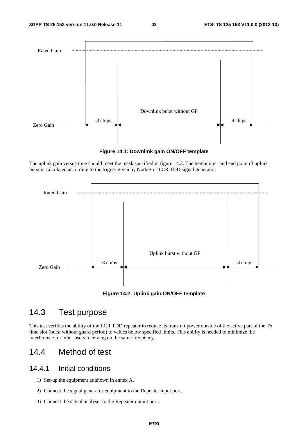

**Figure 14.1: Downlink gain ON/OFF template** 

The uplink gain versus time should meet the mask specified in figure 14.2. The beginning and end point of uplink burst is calculated according to the trigger given by NodeB or LCR TDD signal generator.



## 14.3 Test purpose

This test verifies the ability of the LCR TDD repeater to reduce its transmit power outside of the active part of the Tx time slot (burst without guard period) to values below specified limits. This ability is needed to minimize the interference for other users receiving on the same frequency.

## 14.4 Method of test

#### 14.4.1 Initial conditions

- 1) Set-up the equipment as shown in annex A.
- 2) Connect the signal generator equipment to the Repeater input port.
- 3) Connect the signal analyser to the Repeater output port..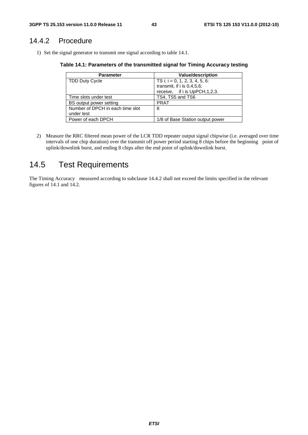### 14.4.2 Procedure

1) Set the signal generator to transmit one signal according to table 14.1.

**Table 14.1: Parameters of the transmitted signal for Timing Accuracy testing** 

| <b>Parameter</b>                 | <b>Value/description</b>          |
|----------------------------------|-----------------------------------|
| <b>TDD Duty Cycle</b>            | TS i; $i = 0, 1, 2, 3, 4, 5, 6$ : |
|                                  | transmit, if $i$ is $0,4,5,6$ ;   |
|                                  | receive, if i is UpPCH, 1, 2, 3.  |
| Time slots under test            | TS4, TS5 and TS6                  |
| BS output power setting          | <b>PRAT</b>                       |
| Number of DPCH in each time slot | 8                                 |
| under test                       |                                   |
| Power of each DPCH               | 1/8 of Base Station output power  |

2) Measure the RRC filtered mean power of the LCR TDD repeater output signal chipwise (i.e. averaged over time intervals of one chip duration) over the transmit off power period starting 8 chips before the beginning point of uplink/downlink burst, and ending 8 chips after the end point of uplink/downlink burst.

## 14.5 Test Requirements

The Timing Accuracy measured according to subclause 14.4.2 shall not exceed the limits specified in the relevant figures of 14.1 and 14.2.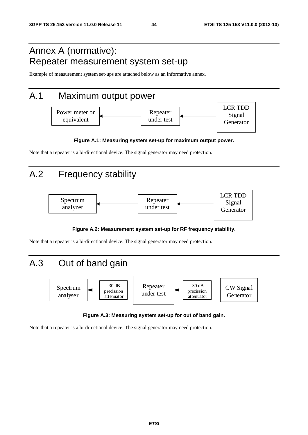## Annex A (normative): Repeater measurement system set-up

Example of measurement system set-ups are attached below as an informative annex.

## A.1 Maximum output power



#### **Figure A.1: Measuring system set-up for maximum output power.**

Note that a repeater is a bi-directional device. The signal generator may need protection.

## A.2 Frequency stability



#### **Figure A.2: Measurement system set-up for RF frequency stability.**

Note that a repeater is a bi-directional device. The signal generator may need protection.



#### **Figure A.3: Measuring system set-up for out of band gain.**

Note that a repeater is a bi-directional device. The signal generator may need protection.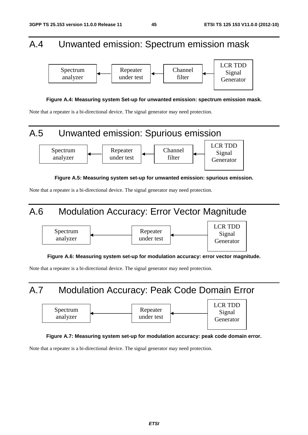## A.4 Unwanted emission: Spectrum emission mask



#### **Figure A.4: Measuring system Set-up for unwanted emission: spectrum emission mask.**

Note that a repeater is a bi-directional device. The signal generator may need protection.

# A.5 Unwanted emission: Spurious emission



**Figure A.5: Measuring system set-up for unwanted emission: spurious emission.** 

Note that a repeater is a bi-directional device. The signal generator may need protection.

## A.6 Modulation Accuracy: Error Vector Magnitude



**Figure A.6: Measuring system set-up for modulation accuracy: error vector magnitude.** 

Note that a repeater is a bi-directional device. The signal generator may need protection.





#### **Figure A.7: Measuring system set-up for modulation accuracy: peak code domain error.**

Note that a repeater is a bi-directional device. The signal generator may need protection.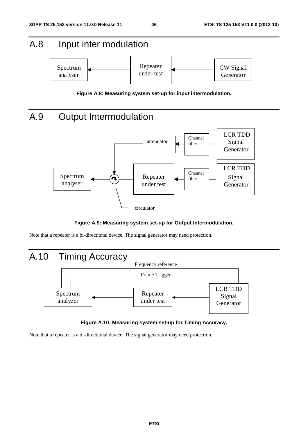# A.8 Input inter modulation





## A.9 Output Intermodulation



#### **Figure A.9: Measuring system set-up for Output Intermodulation.**

Note that a repeater is a bi-directional device. The signal generator may need protection.



#### **Figure A.10: Measuring system set-up for Timing Accuracy.**

Note that a repeater is a bi-directional device. The signal generator may need protection.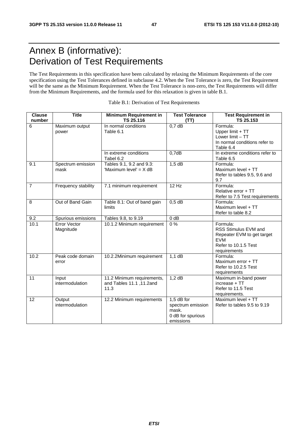## Annex B (informative): Derivation of Test Requirements

The Test Requirements in this specification have been calculated by relaxing the Minimum Requirements of the core specification using the Test Tolerances defined in subclause 4.2. When the Test Tolerance is zero, the Test Requirement will be the same as the Minimum Requirement. When the Test Tolerance is non-zero, the Test Requirements will differ from the Minimum Requirements, and the formula used for this relaxation is given in table B.1.

| <b>Clause</b><br>number | Title                            | <b>Minimum Requirement in</b><br>TS 25.116                     | <b>Test Tolerance</b><br>(TT)                                                | <b>Test Requirement in</b><br>TS 25.153                                                                              |
|-------------------------|----------------------------------|----------------------------------------------------------------|------------------------------------------------------------------------------|----------------------------------------------------------------------------------------------------------------------|
| 6                       | Maximum output<br>power          | In normal conditions<br>Table 6.1                              | 0.7 dB                                                                       | Formula:<br>Upper limit + TT<br>Lower limit - TT<br>In normal conditions refer to<br>Table 6.4                       |
|                         |                                  | In extreme conditions<br>Tabel 6.2                             | 0,7dB                                                                        | In extreme conditions refer to<br>Table 6.5                                                                          |
| 9.1                     | Spectrum emission<br>mask        | Tables 9.1, 9.2 and 9.3:<br>'Maximum level' = X dB             | $1,5$ dB                                                                     | Formula:<br>Maximum level + TT<br>Refer to tables 9.5, 9.6 and<br>9.7                                                |
| $\overline{7}$          | Frequency stability              | 7.1 minimum requirement                                        | 12 Hz                                                                        | Formula:<br>Relative error + TT<br>Refer to 7.5 Test requirements                                                    |
| 8                       | Out of Band Gain                 | Table 8.1: Out of band gain<br>limits                          | $0,5$ dB                                                                     | Formula:<br>Maximum level + TT<br>Refer to table 8.2                                                                 |
| 9.2                     | Spurious emissions               | Tables 9.8, to 9.19                                            | 0 dB                                                                         |                                                                                                                      |
| 10.1                    | <b>Error Vector</b><br>Magnitude | 10.1.2 Minimum requirement                                     | $\overline{0\%}$                                                             | Formula:<br>RSS Stimulus EVM and<br>Repeater EVM to get target<br><b>EVM</b><br>Refer to 10.1.5 Test<br>requirements |
| 10.2                    | Peak code domain<br>error        | 10.2.2Minimum requirement                                      | $1,1$ dB                                                                     | Formula:<br>Maximum error + TT<br>Refer to 10.2.5 Test<br>requirements                                               |
| 11                      | Input<br>intermodulation         | 11.2 Minimum requirements,<br>and Tables 11.1, 11.2and<br>11.3 | $1,2$ dB                                                                     | Maximum in-band power<br>increase + TT<br>Refer to 11.5 Test<br>requirements.                                        |
| 12                      | Output<br>intermodulation        | 12.2 Minimum requirements                                      | $1.5$ dB for<br>spectrum emission<br>mask.<br>0 dB for spurious<br>emissions | Maximum level + TT<br>Refer to tables 9.5 to 9.19                                                                    |

| Table B.1: Derivation of Test Requirements |  |
|--------------------------------------------|--|
|--------------------------------------------|--|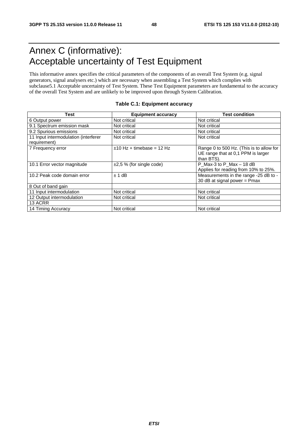## Annex C (informative): Acceptable uncertainty of Test Equipment

This informative annex specifies the critical parameters of the components of an overall Test System (e.g. signal generators, signal analysers etc.) which are necessary when assembling a Test System which complies with subclause5.1 Acceptable uncertainty of Test System. These Test Equipment parameters are fundamental to the accuracy of the overall Test System and are unlikely to be improved upon through System Calibration.

| Test                                                 | <b>Equipment accuracy</b>     | <b>Test condition</b>                                                                        |
|------------------------------------------------------|-------------------------------|----------------------------------------------------------------------------------------------|
| 6 Output power                                       | Not critical                  | Not critical                                                                                 |
| 9.1 Spectrum emission mask                           | Not critical                  | Not critical                                                                                 |
| 9.2 Spurious emissions                               | Not critical                  | Not critical                                                                                 |
| 11 Input intermodulation (interferer<br>requirement) | Not critical                  | Not critical                                                                                 |
| 7 Frequency error                                    | $±10$ Hz + timebase = 12 Hz   | Range 0 to 500 Hz. (This is to allow for<br>UE range that at 0,1 PPM is larger<br>than BTS). |
| 10.1 Error vector magnitude                          | $\pm 2.5$ % (for single code) | P_Max-3 to P_Max - 18 dB<br>Applies for reading from 10% to 25%.                             |
| 10.2 Peak code domain error                          | ± 1 dB                        | Measurements in the range -25 dB to -<br>30 dB at signal power = $Pmax$                      |
| 8 Out of band gain                                   |                               |                                                                                              |
| 11 Input intermodulation                             | Not critical                  | Not critical                                                                                 |
| 12 Output intermodulation                            | Not critical                  | Not critical                                                                                 |
| 13 ACRR                                              |                               |                                                                                              |
| 14 Timing Accuracy                                   | Not critical                  | Not critical                                                                                 |

#### **Table C.1: Equipment accuracy**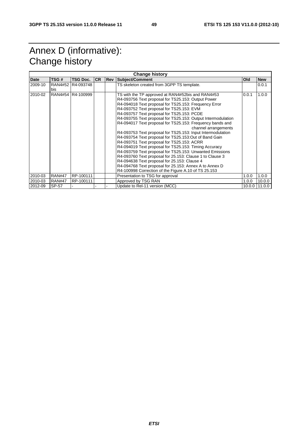## Annex D (informative): Change history

| <b>Change history</b> |               |                   |           |     |                                                              |            |            |
|-----------------------|---------------|-------------------|-----------|-----|--------------------------------------------------------------|------------|------------|
| Date                  | TSG#          | TSG Doc.          | <b>CR</b> | Rev | Subject/Comment                                              | <b>Old</b> | <b>New</b> |
| 2009-10               |               | RAN4#52 R4-093748 |           |     | TS skeleton created from 3GPP TS template.                   |            | 0.0.1      |
|                       | bis           |                   |           |     |                                                              |            |            |
| 2010-02               |               | RAN4#54 R4-100999 |           |     | TS with the TP approved at RAN4#52bis and RAN4#53            | 0.0.1      | 1.0.0      |
|                       |               |                   |           |     | R4-093756 Text proposal for TS25.153: Output Power           |            |            |
|                       |               |                   |           |     | R4-094018 Text proposal for TS25.153: Frequency Error        |            |            |
|                       |               |                   |           |     | R4-093752 Text proposal for TS25.153: EVM                    |            |            |
|                       |               |                   |           |     | R4-093757 Text proposal for TS25.153: PCDE                   |            |            |
|                       |               |                   |           |     | R4-093755 Text proposal for TS25.153: Output Intermodulation |            |            |
|                       |               |                   |           |     | R4-094017 Text proposal for TS25.153: Frequency bands and    |            |            |
|                       |               |                   |           |     | channel arrangements                                         |            |            |
|                       |               |                   |           |     | R4-093753 Text proposal for TS25.153: Input Intermodulation  |            |            |
|                       |               |                   |           |     | R4-093754 Text proposal for TS25.153:Out of Band Gain        |            |            |
|                       |               |                   |           |     | R4-093751 Text proposal for TS25.153: ACRR                   |            |            |
|                       |               |                   |           |     | R4-094019 Text proposal for TS25.153: Timing Accuracy        |            |            |
|                       |               |                   |           |     | R4-093759 Text proposal for TS25.153: Unwanted Emissions     |            |            |
|                       |               |                   |           |     | R4-093760 Text proposal for 25.153: Clause 1 to Clause 3     |            |            |
|                       |               |                   |           |     | R4-094638 Text proposal for 25.153: Clause 4                 |            |            |
|                       |               |                   |           |     | R4-094768 Text proposal for 25.153: Annex A to Annex D       |            |            |
|                       |               |                   |           |     | R4-100998 Correction of the Figure A.10 of TS 25.153         |            |            |
| 2010-03               | <b>RAN#47</b> | RP-100111         |           |     | Presentation to TSG for approval                             | 1.0.0      | 1.0.0      |
| 2010-03               | <b>RAN#47</b> | RP-100111         |           |     | Approved by TSG RAN                                          | 1.0.0      | 10.0.0     |
| 2012-09               | SP-57         |                   |           |     | Update to Rel-11 version (MCC)                               | 10.0.0     | 11.0.0     |